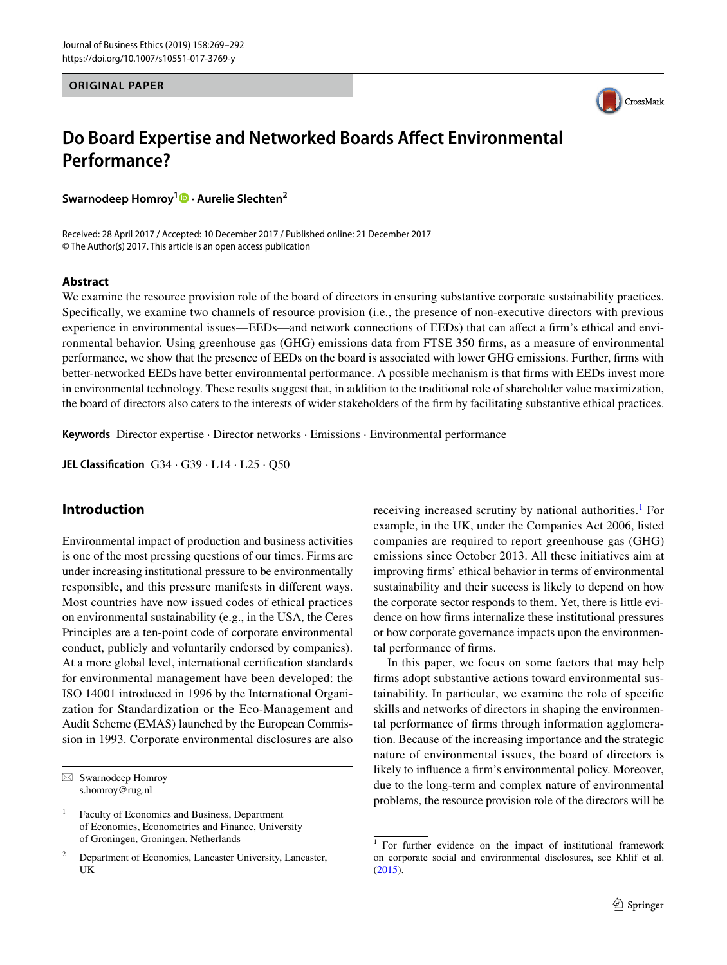### **ORIGINAL PAPER**



# **Do Board Expertise and Networked Boards Afect Environmental Performance?**

**Swarnodeep Homroy<sup>1</sup> · Aurelie Slechten2**

Received: 28 April 2017 / Accepted: 10 December 2017 / Published online: 21 December 2017 © The Author(s) 2017. This article is an open access publication

### **Abstract**

We examine the resource provision role of the board of directors in ensuring substantive corporate sustainability practices. Specifcally, we examine two channels of resource provision (i.e., the presence of non-executive directors with previous experience in environmental issues—EEDs—and network connections of EEDs) that can afect a frm's ethical and environmental behavior. Using greenhouse gas (GHG) emissions data from FTSE 350 frms, as a measure of environmental performance, we show that the presence of EEDs on the board is associated with lower GHG emissions. Further, frms with better-networked EEDs have better environmental performance. A possible mechanism is that frms with EEDs invest more in environmental technology. These results suggest that, in addition to the traditional role of shareholder value maximization, the board of directors also caters to the interests of wider stakeholders of the frm by facilitating substantive ethical practices.

**Keywords** Director expertise · Director networks · Emissions · Environmental performance

**JEL Classifcation** G34 · G39 · L14 · L25 · Q50

# **Introduction**

Environmental impact of production and business activities is one of the most pressing questions of our times. Firms are under increasing institutional pressure to be environmentally responsible, and this pressure manifests in diferent ways. Most countries have now issued codes of ethical practices on environmental sustainability (e.g., in the USA, the Ceres Principles are a ten-point code of corporate environmental conduct, publicly and voluntarily endorsed by companies). At a more global level, international certifcation standards for environmental management have been developed: the ISO 14001 introduced in 1996 by the International Organization for Standardization or the Eco-Management and Audit Scheme (EMAS) launched by the European Commission in 1993. Corporate environmental disclosures are also

receiving increased scrutiny by national authorities.<sup>[1](#page-0-0)</sup> For example, in the UK, under the Companies Act 2006, listed companies are required to report greenhouse gas (GHG) emissions since October 2013. All these initiatives aim at improving frms' ethical behavior in terms of environmental sustainability and their success is likely to depend on how the corporate sector responds to them. Yet, there is little evidence on how frms internalize these institutional pressures or how corporate governance impacts upon the environmental performance of frms.

In this paper, we focus on some factors that may help frms adopt substantive actions toward environmental sustainability. In particular, we examine the role of specifc skills and networks of directors in shaping the environmental performance of frms through information agglomeration. Because of the increasing importance and the strategic nature of environmental issues, the board of directors is likely to infuence a frm's environmental policy. Moreover, due to the long-term and complex nature of environmental problems, the resource provision role of the directors will be

 $\boxtimes$  Swarnodeep Homroy s.homroy@rug.nl

<sup>&</sup>lt;sup>1</sup> Faculty of Economics and Business, Department of Economics, Econometrics and Finance, University of Groningen, Groningen, Netherlands

<sup>2</sup> Department of Economics, Lancaster University, Lancaster, UK

<span id="page-0-0"></span><sup>1</sup> For further evidence on the impact of institutional framework on corporate social and environmental disclosures, see Khlif et al. ([2015\)](#page-23-0).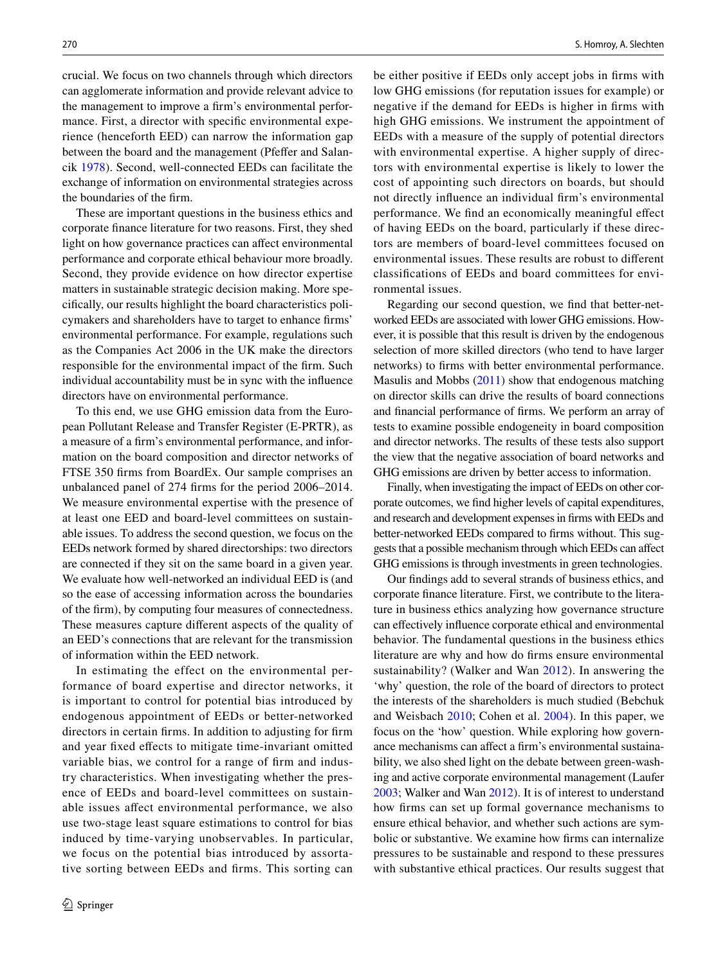crucial. We focus on two channels through which directors can agglomerate information and provide relevant advice to the management to improve a frm's environmental performance. First, a director with specific environmental experience (henceforth EED) can narrow the information gap between the board and the management (Pfeffer and Salancik [1978\)](#page-23-1). Second, well-connected EEDs can facilitate the exchange of information on environmental strategies across the boundaries of the frm.

These are important questions in the business ethics and corporate fnance literature for two reasons. First, they shed light on how governance practices can affect environmental performance and corporate ethical behaviour more broadly. Second, they provide evidence on how director expertise matters in sustainable strategic decision making. More specifcally, our results highlight the board characteristics policymakers and shareholders have to target to enhance frms' environmental performance. For example, regulations such as the Companies Act 2006 in the UK make the directors responsible for the environmental impact of the frm. Such individual accountability must be in sync with the infuence directors have on environmental performance.

To this end, we use GHG emission data from the European Pollutant Release and Transfer Register (E-PRTR), as a measure of a frm's environmental performance, and information on the board composition and director networks of FTSE 350 frms from BoardEx. Our sample comprises an unbalanced panel of 274 frms for the period 2006–2014. We measure environmental expertise with the presence of at least one EED and board-level committees on sustainable issues. To address the second question, we focus on the EEDs network formed by shared directorships: two directors are connected if they sit on the same board in a given year. We evaluate how well-networked an individual EED is (and so the ease of accessing information across the boundaries of the frm), by computing four measures of connectedness. These measures capture diferent aspects of the quality of an EED's connections that are relevant for the transmission of information within the EED network.

In estimating the effect on the environmental performance of board expertise and director networks, it is important to control for potential bias introduced by endogenous appointment of EEDs or better-networked directors in certain frms. In addition to adjusting for frm and year fxed efects to mitigate time-invariant omitted variable bias, we control for a range of frm and industry characteristics. When investigating whether the presence of EEDs and board-level committees on sustainable issues afect environmental performance, we also use two-stage least square estimations to control for bias induced by time-varying unobservables. In particular, we focus on the potential bias introduced by assortative sorting between EEDs and frms. This sorting can be either positive if EEDs only accept jobs in frms with low GHG emissions (for reputation issues for example) or negative if the demand for EEDs is higher in frms with high GHG emissions. We instrument the appointment of EEDs with a measure of the supply of potential directors with environmental expertise. A higher supply of directors with environmental expertise is likely to lower the cost of appointing such directors on boards, but should not directly infuence an individual frm's environmental performance. We fnd an economically meaningful efect of having EEDs on the board, particularly if these directors are members of board-level committees focused on environmental issues. These results are robust to diferent classifcations of EEDs and board committees for environmental issues.

Regarding our second question, we fnd that better-networked EEDs are associated with lower GHG emissions. However, it is possible that this result is driven by the endogenous selection of more skilled directors (who tend to have larger networks) to frms with better environmental performance. Masulis and Mobbs ([2011\)](#page-23-2) show that endogenous matching on director skills can drive the results of board connections and fnancial performance of frms. We perform an array of tests to examine possible endogeneity in board composition and director networks. The results of these tests also support the view that the negative association of board networks and GHG emissions are driven by better access to information.

Finally, when investigating the impact of EEDs on other corporate outcomes, we fnd higher levels of capital expenditures, and research and development expenses in frms with EEDs and better-networked EEDs compared to frms without. This suggests that a possible mechanism through which EEDs can afect GHG emissions is through investments in green technologies.

Our fndings add to several strands of business ethics, and corporate fnance literature. First, we contribute to the literature in business ethics analyzing how governance structure can efectively infuence corporate ethical and environmental behavior. The fundamental questions in the business ethics literature are why and how do frms ensure environmental sustainability? (Walker and Wan [2012](#page-23-3)). In answering the 'why' question, the role of the board of directors to protect the interests of the shareholders is much studied (Bebchuk and Weisbach [2010;](#page-22-0) Cohen et al. [2004](#page-22-1)). In this paper, we focus on the 'how' question. While exploring how governance mechanisms can afect a frm's environmental sustainability, we also shed light on the debate between green-washing and active corporate environmental management (Laufer [2003](#page-23-4); Walker and Wan [2012\)](#page-23-3). It is of interest to understand how frms can set up formal governance mechanisms to ensure ethical behavior, and whether such actions are symbolic or substantive. We examine how frms can internalize pressures to be sustainable and respond to these pressures with substantive ethical practices. Our results suggest that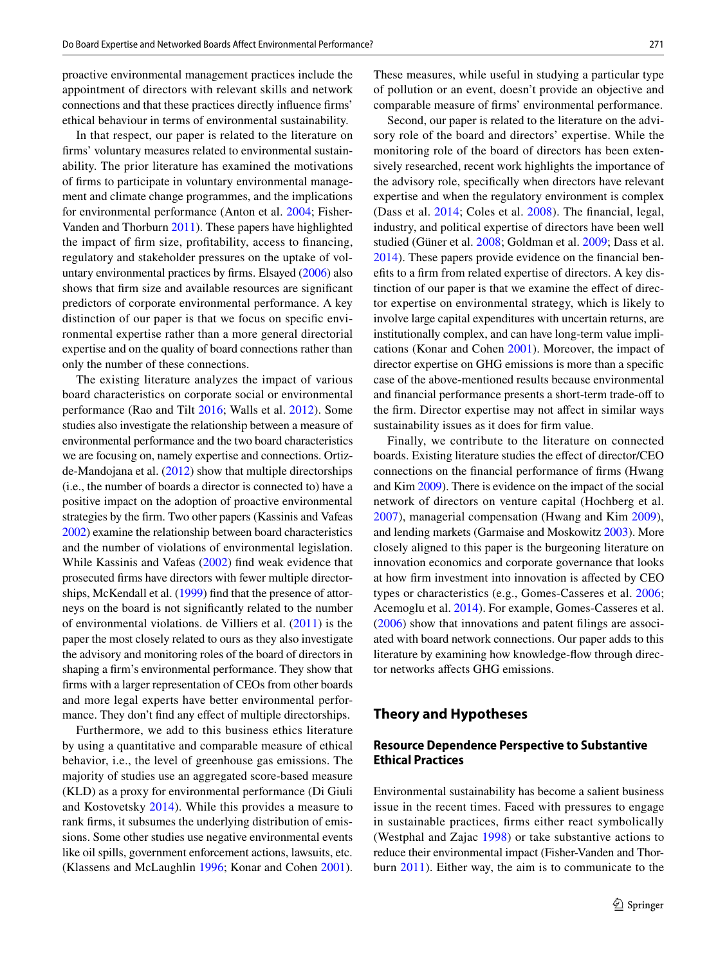proactive environmental management practices include the appointment of directors with relevant skills and network connections and that these practices directly infuence frms' ethical behaviour in terms of environmental sustainability.

In that respect, our paper is related to the literature on frms' voluntary measures related to environmental sustainability. The prior literature has examined the motivations of frms to participate in voluntary environmental management and climate change programmes, and the implications for environmental performance (Anton et al. [2004](#page-22-2); Fisher-Vanden and Thorburn [2011](#page-23-5)). These papers have highlighted the impact of frm size, proftability, access to fnancing, regulatory and stakeholder pressures on the uptake of voluntary environmental practices by frms. Elsayed [\(2006\)](#page-23-6) also shows that frm size and available resources are signifcant predictors of corporate environmental performance. A key distinction of our paper is that we focus on specifc environmental expertise rather than a more general directorial expertise and on the quality of board connections rather than only the number of these connections.

The existing literature analyzes the impact of various board characteristics on corporate social or environmental performance (Rao and Tilt [2016;](#page-23-7) Walls et al. [2012](#page-23-8)). Some studies also investigate the relationship between a measure of environmental performance and the two board characteristics we are focusing on, namely expertise and connections. Ortizde-Mandojana et al. ([2012\)](#page-23-9) show that multiple directorships (i.e., the number of boards a director is connected to) have a positive impact on the adoption of proactive environmental strategies by the frm. Two other papers (Kassinis and Vafeas [2002\)](#page-23-10) examine the relationship between board characteristics and the number of violations of environmental legislation. While Kassinis and Vafeas [\(2002\)](#page-23-10) fnd weak evidence that prosecuted frms have directors with fewer multiple directorships, McKendall et al. ([1999](#page-23-11)) fnd that the presence of attorneys on the board is not signifcantly related to the number of environmental violations. de Villiers et al. ([2011\)](#page-23-12) is the paper the most closely related to ours as they also investigate the advisory and monitoring roles of the board of directors in shaping a frm's environmental performance. They show that frms with a larger representation of CEOs from other boards and more legal experts have better environmental performance. They don't find any effect of multiple directorships.

Furthermore, we add to this business ethics literature by using a quantitative and comparable measure of ethical behavior, i.e., the level of greenhouse gas emissions. The majority of studies use an aggregated score-based measure (KLD) as a proxy for environmental performance (Di Giuli and Kostovetsky [2014](#page-23-13)). While this provides a measure to rank frms, it subsumes the underlying distribution of emissions. Some other studies use negative environmental events like oil spills, government enforcement actions, lawsuits, etc. (Klassens and McLaughlin [1996](#page-23-14); Konar and Cohen [2001](#page-23-15)). These measures, while useful in studying a particular type of pollution or an event, doesn't provide an objective and comparable measure of frms' environmental performance.

Second, our paper is related to the literature on the advisory role of the board and directors' expertise. While the monitoring role of the board of directors has been extensively researched, recent work highlights the importance of the advisory role, specifcally when directors have relevant expertise and when the regulatory environment is complex (Dass et al. [2014](#page-22-3); Coles et al. [2008\)](#page-22-4). The fnancial, legal, industry, and political expertise of directors have been well studied (Güner et al. [2008;](#page-23-16) Goldman et al. [2009;](#page-23-17) Dass et al. [2014](#page-22-3)). These papers provide evidence on the fnancial benefts to a frm from related expertise of directors. A key distinction of our paper is that we examine the effect of director expertise on environmental strategy, which is likely to involve large capital expenditures with uncertain returns, are institutionally complex, and can have long-term value implications (Konar and Cohen [2001](#page-23-15)). Moreover, the impact of director expertise on GHG emissions is more than a specifc case of the above-mentioned results because environmental and financial performance presents a short-term trade-off to the frm. Director expertise may not afect in similar ways sustainability issues as it does for frm value.

Finally, we contribute to the literature on connected boards. Existing literature studies the efect of director/CEO connections on the fnancial performance of frms (Hwang and Kim [2009](#page-23-18)). There is evidence on the impact of the social network of directors on venture capital (Hochberg et al. [2007\)](#page-23-19), managerial compensation (Hwang and Kim [2009](#page-23-18)), and lending markets (Garmaise and Moskowitz [2003\)](#page-23-20). More closely aligned to this paper is the burgeoning literature on innovation economics and corporate governance that looks at how frm investment into innovation is afected by CEO types or characteristics (e.g., Gomes-Casseres et al. [2006](#page-23-21); Acemoglu et al. [2014](#page-22-5)). For example, Gomes-Casseres et al. ([2006\)](#page-23-21) show that innovations and patent flings are associated with board network connections. Our paper adds to this literature by examining how knowledge-fow through director networks afects GHG emissions.

# **Theory and Hypotheses**

# **Resource Dependence Perspective to Substantive Ethical Practices**

Environmental sustainability has become a salient business issue in the recent times. Faced with pressures to engage in sustainable practices, frms either react symbolically (Westphal and Zajac [1998\)](#page-23-22) or take substantive actions to reduce their environmental impact (Fisher-Vanden and Thorburn [2011\)](#page-23-5). Either way, the aim is to communicate to the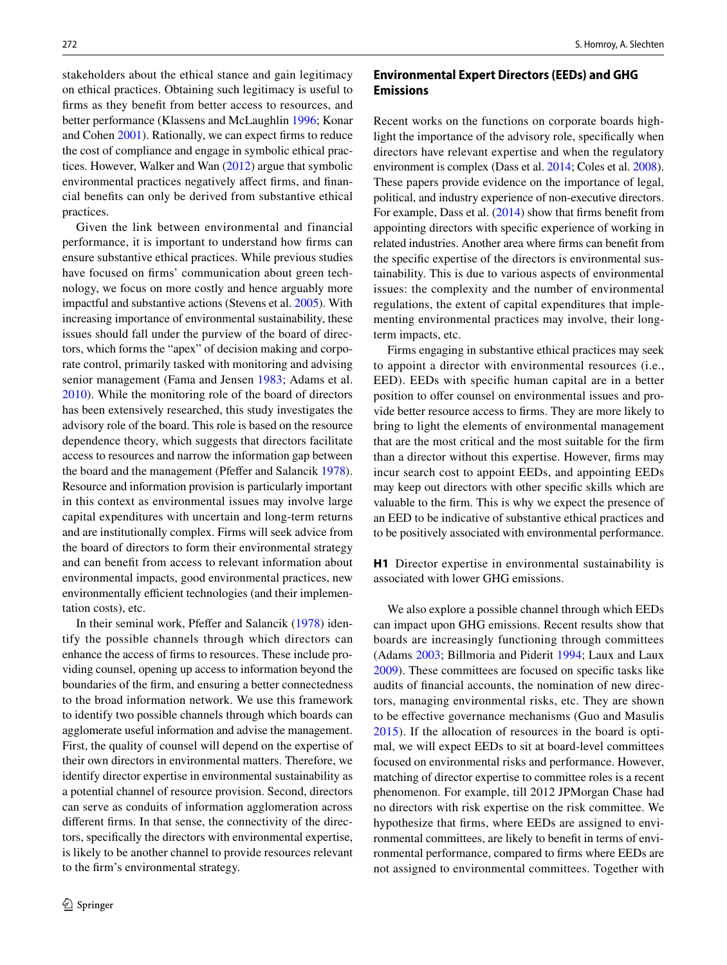stakeholders about the ethical stance and gain legitimacy on ethical practices. Obtaining such legitimacy is useful to frms as they beneft from better access to resources, and better performance (Klassens and McLaughlin [1996](#page-23-14); Konar and Cohen [2001](#page-23-15)). Rationally, we can expect frms to reduce the cost of compliance and engage in symbolic ethical practices. However, Walker and Wan ([2012](#page-23-3)) argue that symbolic environmental practices negatively afect frms, and fnancial benefts can only be derived from substantive ethical practices.

Given the link between environmental and financial performance, it is important to understand how frms can ensure substantive ethical practices. While previous studies have focused on frms' communication about green technology, we focus on more costly and hence arguably more impactful and substantive actions (Stevens et al. [2005](#page-23-23)). With increasing importance of environmental sustainability, these issues should fall under the purview of the board of directors, which forms the "apex" of decision making and corporate control, primarily tasked with monitoring and advising senior management (Fama and Jensen [1983](#page-23-24); Adams et al. [2010](#page-22-6)). While the monitoring role of the board of directors has been extensively researched, this study investigates the advisory role of the board. This role is based on the resource dependence theory, which suggests that directors facilitate access to resources and narrow the information gap between the board and the management (Pfefer and Salancik [1978](#page-23-1)). Resource and information provision is particularly important in this context as environmental issues may involve large capital expenditures with uncertain and long-term returns and are institutionally complex. Firms will seek advice from the board of directors to form their environmental strategy and can beneft from access to relevant information about environmental impacts, good environmental practices, new environmentally efficient technologies (and their implementation costs), etc.

In their seminal work, Pfeffer and Salancik [\(1978](#page-23-1)) identify the possible channels through which directors can enhance the access of frms to resources. These include providing counsel, opening up access to information beyond the boundaries of the frm, and ensuring a better connectedness to the broad information network. We use this framework to identify two possible channels through which boards can agglomerate useful information and advise the management. First, the quality of counsel will depend on the expertise of their own directors in environmental matters. Therefore, we identify director expertise in environmental sustainability as a potential channel of resource provision. Second, directors can serve as conduits of information agglomeration across diferent frms. In that sense, the connectivity of the directors, specifcally the directors with environmental expertise, is likely to be another channel to provide resources relevant to the frm's environmental strategy.

# **Environmental Expert Directors (EEDs) and GHG Emissions**

Recent works on the functions on corporate boards highlight the importance of the advisory role, specifcally when directors have relevant expertise and when the regulatory environment is complex (Dass et al. [2014](#page-22-3); Coles et al. [2008](#page-22-4)). These papers provide evidence on the importance of legal, political, and industry experience of non-executive directors. For example, Dass et al. ([2014\)](#page-22-3) show that firms benefit from appointing directors with specifc experience of working in related industries. Another area where frms can beneft from the specifc expertise of the directors is environmental sustainability. This is due to various aspects of environmental issues: the complexity and the number of environmental regulations, the extent of capital expenditures that implementing environmental practices may involve, their longterm impacts, etc.

Firms engaging in substantive ethical practices may seek to appoint a director with environmental resources (i.e., EED). EEDs with specifc human capital are in a better position to offer counsel on environmental issues and provide better resource access to frms. They are more likely to bring to light the elements of environmental management that are the most critical and the most suitable for the frm than a director without this expertise. However, frms may incur search cost to appoint EEDs, and appointing EEDs may keep out directors with other specifc skills which are valuable to the frm. This is why we expect the presence of an EED to be indicative of substantive ethical practices and to be positively associated with environmental performance.

<span id="page-3-0"></span>**H1** Director expertise in environmental sustainability is associated with lower GHG emissions.

We also explore a possible channel through which EEDs can impact upon GHG emissions. Recent results show that boards are increasingly functioning through committees (Adams [2003](#page-22-7); Billmoria and Piderit [1994;](#page-22-8) Laux and Laux [2009](#page-23-25)). These committees are focused on specifc tasks like audits of fnancial accounts, the nomination of new directors, managing environmental risks, etc. They are shown to be efective governance mechanisms (Guo and Masulis [2015\)](#page-23-26). If the allocation of resources in the board is optimal, we will expect EEDs to sit at board-level committees focused on environmental risks and performance. However, matching of director expertise to committee roles is a recent phenomenon. For example, till 2012 JPMorgan Chase had no directors with risk expertise on the risk committee. We hypothesize that frms, where EEDs are assigned to environmental committees, are likely to beneft in terms of environmental performance, compared to frms where EEDs are not assigned to environmental committees. Together with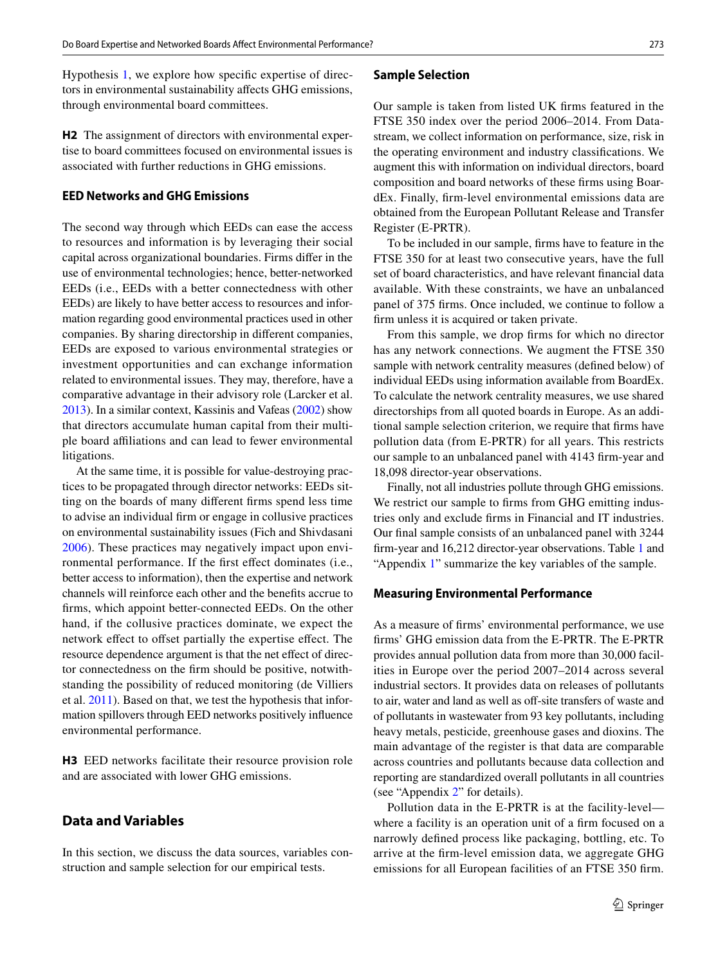Hypothesis [1](#page-3-0), we explore how specifc expertise of directors in environmental sustainability afects GHG emissions, through environmental board committees.

<span id="page-4-0"></span>**H2** The assignment of directors with environmental expertise to board committees focused on environmental issues is associated with further reductions in GHG emissions.

### **EED Networks and GHG Emissions**

The second way through which EEDs can ease the access to resources and information is by leveraging their social capital across organizational boundaries. Firms difer in the use of environmental technologies; hence, better-networked EEDs (i.e., EEDs with a better connectedness with other EEDs) are likely to have better access to resources and information regarding good environmental practices used in other companies. By sharing directorship in diferent companies, EEDs are exposed to various environmental strategies or investment opportunities and can exchange information related to environmental issues. They may, therefore, have a comparative advantage in their advisory role (Larcker et al. [2013\)](#page-23-27). In a similar context, Kassinis and Vafeas ([2002\)](#page-23-10) show that directors accumulate human capital from their multiple board afliations and can lead to fewer environmental litigations.

At the same time, it is possible for value-destroying practices to be propagated through director networks: EEDs sitting on the boards of many diferent frms spend less time to advise an individual frm or engage in collusive practices on environmental sustainability issues (Fich and Shivdasani [2006\)](#page-23-28). These practices may negatively impact upon environmental performance. If the frst efect dominates (i.e., better access to information), then the expertise and network channels will reinforce each other and the benefts accrue to frms, which appoint better-connected EEDs. On the other hand, if the collusive practices dominate, we expect the network efect to ofset partially the expertise efect. The resource dependence argument is that the net effect of director connectedness on the frm should be positive, notwithstanding the possibility of reduced monitoring (de Villiers et al. [2011\)](#page-23-12). Based on that, we test the hypothesis that information spillovers through EED networks positively infuence environmental performance.

<span id="page-4-1"></span>**H3** EED networks facilitate their resource provision role and are associated with lower GHG emissions.

# **Data and Variables**

In this section, we discuss the data sources, variables construction and sample selection for our empirical tests.

### **Sample Selection**

Our sample is taken from listed UK frms featured in the FTSE 350 index over the period 2006–2014. From Datastream, we collect information on performance, size, risk in the operating environment and industry classifcations. We augment this with information on individual directors, board composition and board networks of these frms using BoardEx. Finally, frm-level environmental emissions data are obtained from the European Pollutant Release and Transfer Register (E-PRTR).

To be included in our sample, frms have to feature in the FTSE 350 for at least two consecutive years, have the full set of board characteristics, and have relevant fnancial data available. With these constraints, we have an unbalanced panel of 375 frms. Once included, we continue to follow a frm unless it is acquired or taken private.

From this sample, we drop frms for which no director has any network connections. We augment the FTSE 350 sample with network centrality measures (defned below) of individual EEDs using information available from BoardEx. To calculate the network centrality measures, we use shared directorships from all quoted boards in Europe. As an additional sample selection criterion, we require that frms have pollution data (from E-PRTR) for all years. This restricts our sample to an unbalanced panel with 4143 frm-year and 18,098 director-year observations.

Finally, not all industries pollute through GHG emissions. We restrict our sample to firms from GHG emitting industries only and exclude frms in Financial and IT industries. Our fnal sample consists of an unbalanced panel with 3244 frm-year and 16,212 director-year observations. Table [1](#page-5-0) and "Appendix [1](#page-19-0)" summarize the key variables of the sample.

### **Measuring Environmental Performance**

As a measure of frms' environmental performance, we use frms' GHG emission data from the E-PRTR. The E-PRTR provides annual pollution data from more than 30,000 facilities in Europe over the period 2007–2014 across several industrial sectors. It provides data on releases of pollutants to air, water and land as well as off-site transfers of waste and of pollutants in wastewater from 93 key pollutants, including heavy metals, pesticide, greenhouse gases and dioxins. The main advantage of the register is that data are comparable across countries and pollutants because data collection and reporting are standardized overall pollutants in all countries (see "Appendix [2"](#page-20-0) for details).

Pollution data in the E-PRTR is at the facility-level where a facility is an operation unit of a frm focused on a narrowly defned process like packaging, bottling, etc. To arrive at the frm-level emission data, we aggregate GHG emissions for all European facilities of an FTSE 350 frm.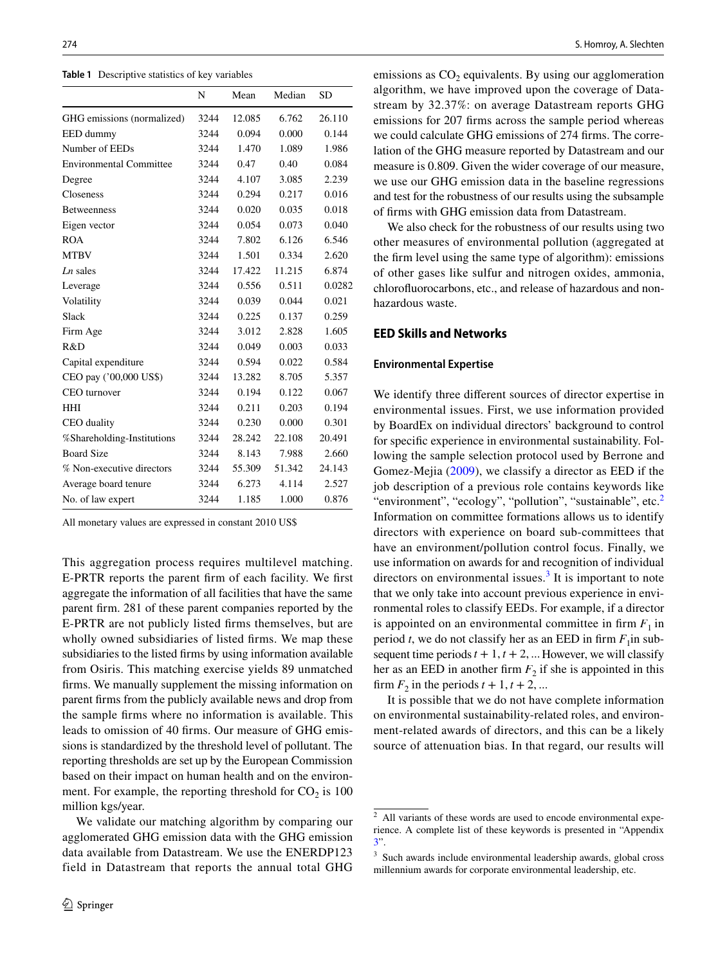<span id="page-5-0"></span>**Table 1** Descriptive statistics of key variables

|                                | N    | Mean   | Median | <b>SD</b> |
|--------------------------------|------|--------|--------|-----------|
| GHG emissions (normalized)     | 3244 | 12.085 | 6.762  | 26.110    |
| EED dummy                      | 3244 | 0.094  | 0.000  | 0.144     |
| Number of EEDs                 | 3244 | 1.470  | 1.089  | 1.986     |
| <b>Environmental Committee</b> | 3244 | 0.47   | 0.40   | 0.084     |
| Degree                         | 3244 | 4.107  | 3.085  | 2.239     |
| Closeness                      | 3244 | 0.294  | 0.217  | 0.016     |
| <b>Betweenness</b>             | 3244 | 0.020  | 0.035  | 0.018     |
| Eigen vector                   | 3244 | 0.054  | 0.073  | 0.040     |
| <b>ROA</b>                     | 3244 | 7.802  | 6.126  | 6.546     |
| <b>MTBV</b>                    | 3244 | 1.501  | 0.334  | 2.620     |
| $Ln$ sales                     | 3244 | 17.422 | 11.215 | 6.874     |
| Leverage                       | 3244 | 0.556  | 0.511  | 0.0282    |
| Volatility                     | 3244 | 0.039  | 0.044  | 0.021     |
| Slack                          | 3244 | 0.225  | 0.137  | 0.259     |
| Firm Age                       | 3244 | 3.012  | 2.828  | 1.605     |
| R&D                            | 3244 | 0.049  | 0.003  | 0.033     |
| Capital expenditure            | 3244 | 0.594  | 0.022  | 0.584     |
| CEO pay ('00,000 US\$)         | 3244 | 13.282 | 8.705  | 5.357     |
| CEO turnover                   | 3244 | 0.194  | 0.122  | 0.067     |
| <b>HHI</b>                     | 3244 | 0.211  | 0.203  | 0.194     |
| CEO duality                    | 3244 | 0.230  | 0.000  | 0.301     |
| %Shareholding-Institutions     | 3244 | 28.242 | 22.108 | 20.491    |
| <b>Board Size</b>              | 3244 | 8.143  | 7.988  | 2.660     |
| % Non-executive directors      | 3244 | 55.309 | 51.342 | 24.143    |
| Average board tenure           | 3244 | 6.273  | 4.114  | 2.527     |
| No. of law expert              | 3244 | 1.185  | 1.000  | 0.876     |

All monetary values are expressed in constant 2010 US\$

This aggregation process requires multilevel matching. E-PRTR reports the parent frm of each facility. We frst aggregate the information of all facilities that have the same parent frm. 281 of these parent companies reported by the E-PRTR are not publicly listed frms themselves, but are wholly owned subsidiaries of listed frms. We map these subsidiaries to the listed frms by using information available from Osiris. This matching exercise yields 89 unmatched frms. We manually supplement the missing information on parent frms from the publicly available news and drop from the sample frms where no information is available. This leads to omission of 40 frms. Our measure of GHG emissions is standardized by the threshold level of pollutant. The reporting thresholds are set up by the European Commission based on their impact on human health and on the environment. For example, the reporting threshold for  $CO<sub>2</sub>$  is 100 million kgs/year.

We validate our matching algorithm by comparing our agglomerated GHG emission data with the GHG emission data available from Datastream. We use the ENERDP123 field in Datastream that reports the annual total GHG

emissions as  $CO<sub>2</sub>$  equivalents. By using our agglomeration algorithm, we have improved upon the coverage of Datastream by 32.37%: on average Datastream reports GHG emissions for 207 frms across the sample period whereas we could calculate GHG emissions of 274 frms. The correlation of the GHG measure reported by Datastream and our measure is 0.809. Given the wider coverage of our measure, we use our GHG emission data in the baseline regressions and test for the robustness of our results using the subsample of frms with GHG emission data from Datastream.

We also check for the robustness of our results using two other measures of environmental pollution (aggregated at the frm level using the same type of algorithm): emissions of other gases like sulfur and nitrogen oxides, ammonia, chlorofuorocarbons, etc., and release of hazardous and nonhazardous waste.

### **EED Skills and Networks**

### **Environmental Expertise**

We identify three diferent sources of director expertise in environmental issues. First, we use information provided by BoardEx on individual directors' background to control for specifc experience in environmental sustainability. Following the sample selection protocol used by Berrone and Gomez-Mejia ([2009](#page-22-9)), we classify a director as EED if the job description of a previous role contains keywords like "environment", "ecology", "pollution", "sustainable", etc.<sup>[2](#page-5-1)</sup> Information on committee formations allows us to identify directors with experience on board sub-committees that have an environment/pollution control focus. Finally, we use information on awards for and recognition of individual directors on environmental issues. $3$  It is important to note that we only take into account previous experience in environmental roles to classify EEDs. For example, if a director is appointed on an environmental committee in firm  $F_1$  in period *t*, we do not classify her as an EED in firm  $F_1$ in subsequent time periods  $t + 1$ ,  $t + 2$ , ... However, we will classify her as an EED in another firm  $F_2$  if she is appointed in this firm  $F_2$  in the periods  $t + 1, t + 2, ...$ 

It is possible that we do not have complete information on environmental sustainability-related roles, and environment-related awards of directors, and this can be a likely source of attenuation bias. In that regard, our results will

<span id="page-5-1"></span><sup>&</sup>lt;sup>2</sup> All variants of these words are used to encode environmental experience. A complete list of these keywords is presented in "Appendix [3](#page-20-1)".

<span id="page-5-2"></span><sup>3</sup> Such awards include environmental leadership awards, global cross millennium awards for corporate environmental leadership, etc.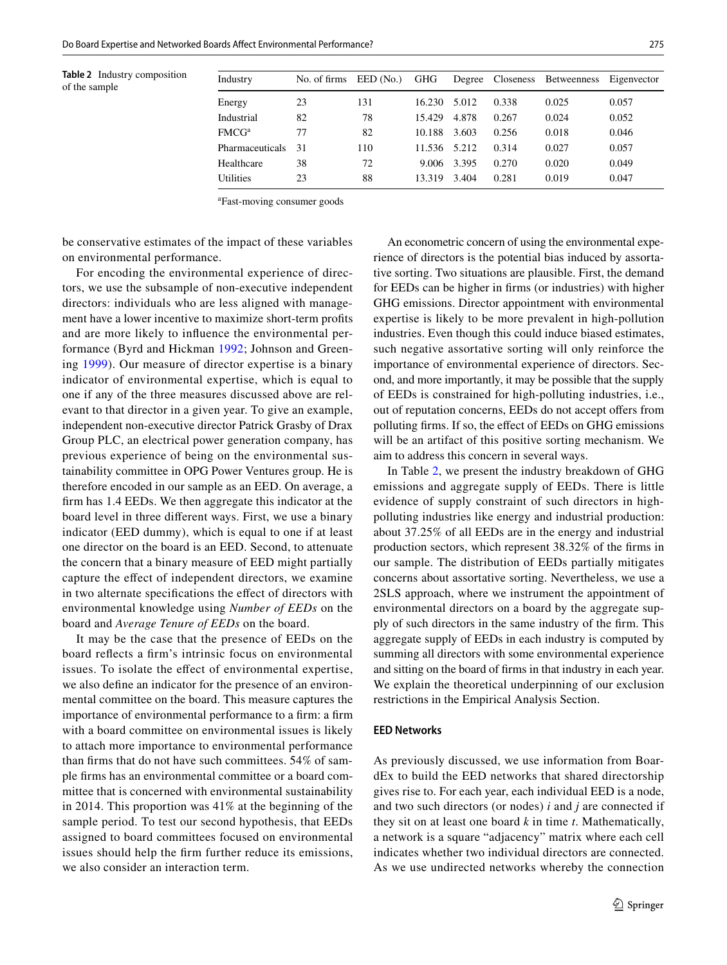<span id="page-6-0"></span>

| Industry               | No. of firms | EED(No.) | GHG    |       |       | Degree Closeness Betweenness | Eigenvector |
|------------------------|--------------|----------|--------|-------|-------|------------------------------|-------------|
| Energy                 | 23           | 131      | 16.230 | 5.012 | 0.338 | 0.025                        | 0.057       |
| Industrial             | 82           | 78       | 15.429 | 4.878 | 0.267 | 0.024                        | 0.052       |
| FMCG <sup>a</sup>      | 77           | 82       | 10.188 | 3.603 | 0.256 | 0.018                        | 0.046       |
| <b>Pharmaceuticals</b> | 31           | 110      | 11.536 | 5.212 | 0.314 | 0.027                        | 0.057       |
| Healthcare             | 38           | 72       | 9.006  | 3.395 | 0.270 | 0.020                        | 0.049       |
| <b>Utilities</b>       | 23           | 88       | 13.319 | 3.404 | 0.281 | 0.019                        | 0.047       |

a Fast-moving consumer goods

be conservative estimates of the impact of these variables on environmental performance.

For encoding the environmental experience of directors, we use the subsample of non-executive independent directors: individuals who are less aligned with management have a lower incentive to maximize short-term profts and are more likely to infuence the environmental performance (Byrd and Hickman [1992;](#page-22-10) Johnson and Greening [1999\)](#page-23-29). Our measure of director expertise is a binary indicator of environmental expertise, which is equal to one if any of the three measures discussed above are relevant to that director in a given year. To give an example, independent non-executive director Patrick Grasby of Drax Group PLC, an electrical power generation company, has previous experience of being on the environmental sustainability committee in OPG Power Ventures group. He is therefore encoded in our sample as an EED. On average, a frm has 1.4 EEDs. We then aggregate this indicator at the board level in three diferent ways. First, we use a binary indicator (EED dummy), which is equal to one if at least one director on the board is an EED. Second, to attenuate the concern that a binary measure of EED might partially capture the efect of independent directors, we examine in two alternate specifcations the efect of directors with environmental knowledge using *Number of EEDs* on the board and *Average Tenure of EEDs* on the board.

It may be the case that the presence of EEDs on the board refects a frm's intrinsic focus on environmental issues. To isolate the effect of environmental expertise, we also defne an indicator for the presence of an environmental committee on the board. This measure captures the importance of environmental performance to a frm: a frm with a board committee on environmental issues is likely to attach more importance to environmental performance than frms that do not have such committees. 54% of sample frms has an environmental committee or a board committee that is concerned with environmental sustainability in 2014. This proportion was 41% at the beginning of the sample period. To test our second hypothesis, that EEDs assigned to board committees focused on environmental issues should help the frm further reduce its emissions, we also consider an interaction term.

An econometric concern of using the environmental experience of directors is the potential bias induced by assortative sorting. Two situations are plausible. First, the demand for EEDs can be higher in frms (or industries) with higher GHG emissions. Director appointment with environmental expertise is likely to be more prevalent in high-pollution industries. Even though this could induce biased estimates, such negative assortative sorting will only reinforce the importance of environmental experience of directors. Second, and more importantly, it may be possible that the supply of EEDs is constrained for high-polluting industries, i.e., out of reputation concerns, EEDs do not accept offers from polluting frms. If so, the efect of EEDs on GHG emissions will be an artifact of this positive sorting mechanism. We aim to address this concern in several ways.

In Table [2](#page-6-0), we present the industry breakdown of GHG emissions and aggregate supply of EEDs. There is little evidence of supply constraint of such directors in highpolluting industries like energy and industrial production: about 37.25% of all EEDs are in the energy and industrial production sectors, which represent 38.32% of the frms in our sample. The distribution of EEDs partially mitigates concerns about assortative sorting. Nevertheless, we use a 2SLS approach, where we instrument the appointment of environmental directors on a board by the aggregate supply of such directors in the same industry of the frm. This aggregate supply of EEDs in each industry is computed by summing all directors with some environmental experience and sitting on the board of frms in that industry in each year. We explain the theoretical underpinning of our exclusion restrictions in the Empirical Analysis Section.

### **EED Networks**

As previously discussed, we use information from BoardEx to build the EED networks that shared directorship gives rise to. For each year, each individual EED is a node, and two such directors (or nodes) *i* and *j* are connected if they sit on at least one board *k* in time *t*. Mathematically, a network is a square "adjacency" matrix where each cell indicates whether two individual directors are connected. As we use undirected networks whereby the connection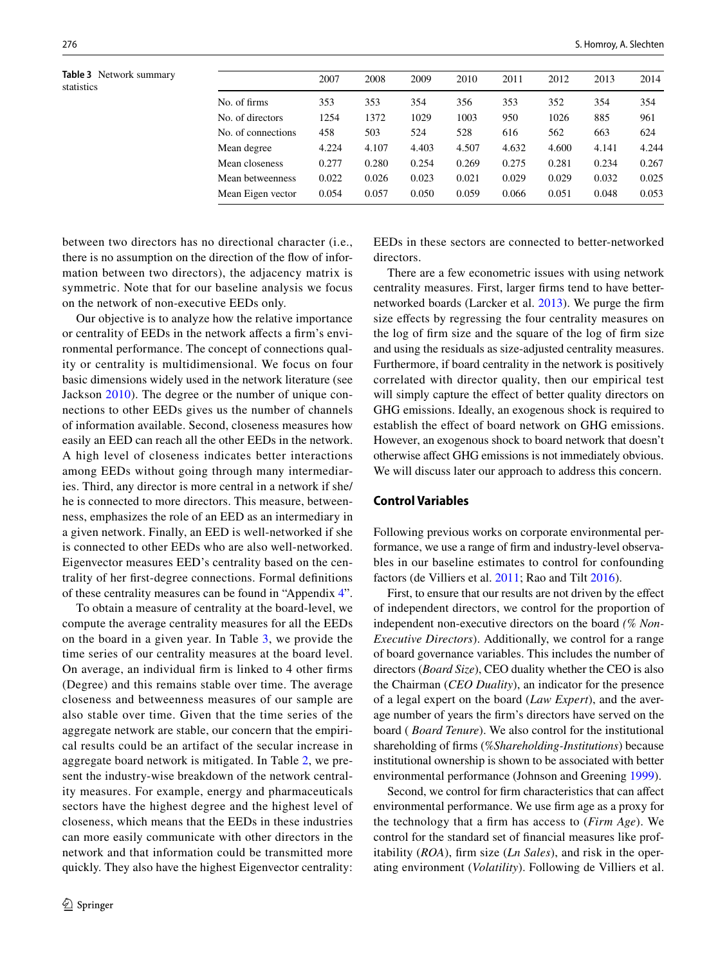<span id="page-7-0"></span>**Table 3** Network summary statistics

|                    | 2007  | 2008  | 2009  | 2010  | 2011  | 2012  | 2013  | 2014  |
|--------------------|-------|-------|-------|-------|-------|-------|-------|-------|
| No. of firms       | 353   | 353   | 354   | 356   | 353   | 352   | 354   | 354   |
| No. of directors   | 1254  | 1372  | 1029  | 1003  | 950   | 1026  | 885   | 961   |
| No. of connections | 458   | 503   | 524   | 528   | 616   | 562   | 663   | 624   |
| Mean degree        | 4.224 | 4.107 | 4.403 | 4.507 | 4.632 | 4.600 | 4.141 | 4.244 |
| Mean closeness     | 0.277 | 0.280 | 0.254 | 0.269 | 0.275 | 0.281 | 0.234 | 0.267 |
| Mean betweenness   | 0.022 | 0.026 | 0.023 | 0.021 | 0.029 | 0.029 | 0.032 | 0.025 |
| Mean Eigen vector  | 0.054 | 0.057 | 0.050 | 0.059 | 0.066 | 0.051 | 0.048 | 0.053 |

between two directors has no directional character (i.e., there is no assumption on the direction of the flow of information between two directors), the adjacency matrix is symmetric. Note that for our baseline analysis we focus on the network of non-executive EEDs only.

Our objective is to analyze how the relative importance or centrality of EEDs in the network afects a frm's environmental performance. The concept of connections quality or centrality is multidimensional. We focus on four basic dimensions widely used in the network literature (see Jackson [2010](#page-23-30)). The degree or the number of unique connections to other EEDs gives us the number of channels of information available. Second, closeness measures how easily an EED can reach all the other EEDs in the network. A high level of closeness indicates better interactions among EEDs without going through many intermediaries. Third, any director is more central in a network if she/ he is connected to more directors. This measure, betweenness, emphasizes the role of an EED as an intermediary in a given network. Finally, an EED is well-networked if she is connected to other EEDs who are also well-networked. Eigenvector measures EED's centrality based on the centrality of her frst-degree connections. Formal defnitions of these centrality measures can be found in "Appendix [4](#page-20-2)".

To obtain a measure of centrality at the board-level, we compute the average centrality measures for all the EEDs on the board in a given year. In Table [3](#page-7-0), we provide the time series of our centrality measures at the board level. On average, an individual frm is linked to 4 other frms (Degree) and this remains stable over time. The average closeness and betweenness measures of our sample are also stable over time. Given that the time series of the aggregate network are stable, our concern that the empirical results could be an artifact of the secular increase in aggregate board network is mitigated. In Table [2,](#page-6-0) we present the industry-wise breakdown of the network centrality measures. For example, energy and pharmaceuticals sectors have the highest degree and the highest level of closeness, which means that the EEDs in these industries can more easily communicate with other directors in the network and that information could be transmitted more quickly. They also have the highest Eigenvector centrality: EEDs in these sectors are connected to better-networked directors.

There are a few econometric issues with using network centrality measures. First, larger frms tend to have betternetworked boards (Larcker et al. [2013](#page-23-27)). We purge the frm size effects by regressing the four centrality measures on the log of frm size and the square of the log of frm size and using the residuals as size-adjusted centrality measures. Furthermore, if board centrality in the network is positively correlated with director quality, then our empirical test will simply capture the effect of better quality directors on GHG emissions. Ideally, an exogenous shock is required to establish the efect of board network on GHG emissions. However, an exogenous shock to board network that doesn't otherwise afect GHG emissions is not immediately obvious. We will discuss later our approach to address this concern.

### **Control Variables**

Following previous works on corporate environmental performance, we use a range of frm and industry-level observables in our baseline estimates to control for confounding factors (de Villiers et al. [2011;](#page-23-12) Rao and Tilt [2016](#page-23-7)).

First, to ensure that our results are not driven by the efect of independent directors, we control for the proportion of independent non-executive directors on the board *(% Non-Executive Directors*). Additionally, we control for a range of board governance variables. This includes the number of directors (*Board Size*), CEO duality whether the CEO is also the Chairman (*CEO Duality*), an indicator for the presence of a legal expert on the board (*Law Expert*), and the average number of years the frm's directors have served on the board ( *Board Tenure*). We also control for the institutional shareholding of frms (*%Shareholding-Institutions*) because institutional ownership is shown to be associated with better environmental performance (Johnson and Greening [1999](#page-23-29)).

Second, we control for frm characteristics that can afect environmental performance. We use frm age as a proxy for the technology that a frm has access to (*Firm Age*). We control for the standard set of fnancial measures like profitability (*ROA*), frm size (*Ln Sales*), and risk in the operating environment (*Volatility*). Following de Villiers et al.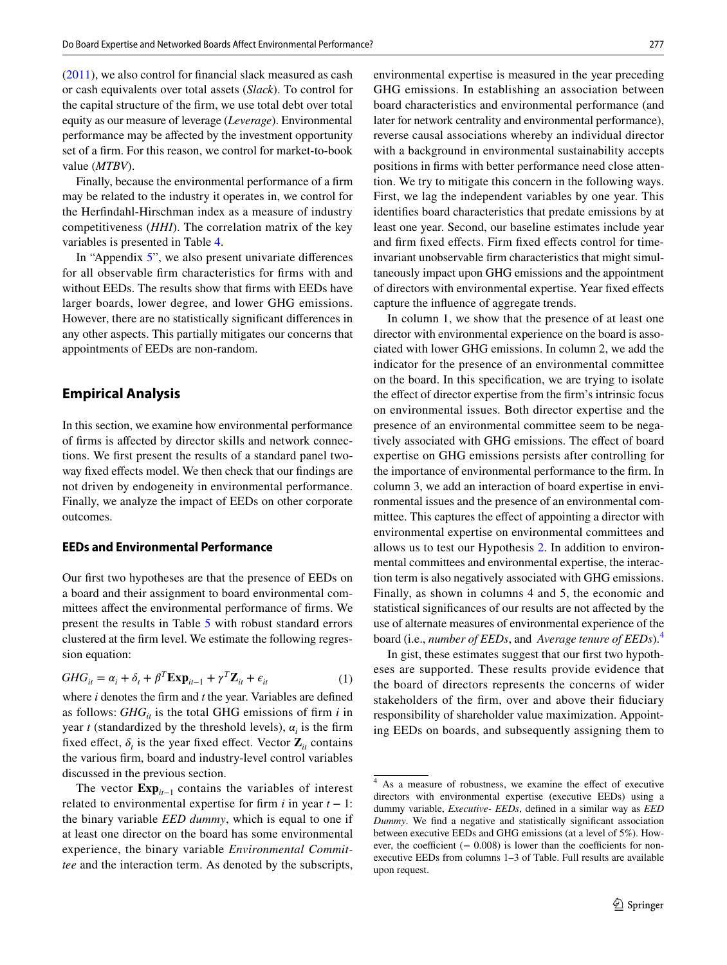[\(2011\)](#page-23-12), we also control for fnancial slack measured as cash or cash equivalents over total assets (*Slack*). To control for the capital structure of the frm, we use total debt over total equity as our measure of leverage (*Leverage*). Environmental performance may be afected by the investment opportunity set of a frm. For this reason, we control for market-to-book value (*MTBV*).

Finally, because the environmental performance of a frm may be related to the industry it operates in, we control for the Herfndahl-Hirschman index as a measure of industry competitiveness (*HHI*). The correlation matrix of the key variables is presented in Table [4.](#page-9-0)

In "Appendix [5](#page-21-0)", we also present univariate diferences for all observable frm characteristics for frms with and without EEDs. The results show that frms with EEDs have larger boards, lower degree, and lower GHG emissions. However, there are no statistically signifcant diferences in any other aspects. This partially mitigates our concerns that appointments of EEDs are non-random.

### **Empirical Analysis**

In this section, we examine how environmental performance of frms is afected by director skills and network connections. We frst present the results of a standard panel twoway fxed efects model. We then check that our fndings are not driven by endogeneity in environmental performance. Finally, we analyze the impact of EEDs on other corporate outcomes.

### **EEDs and Environmental Performance**

Our frst two hypotheses are that the presence of EEDs on a board and their assignment to board environmental committees afect the environmental performance of frms. We present the results in Table [5](#page-10-0) with robust standard errors clustered at the frm level. We estimate the following regression equation:

$$
GHG_{it} = \alpha_i + \delta_t + \beta^T \mathbf{Exp}_{it-1} + \gamma^T \mathbf{Z}_{it} + \epsilon_{it}
$$
 (1)

where *i* denotes the frm and *t* the year. Variables are defned as follows:  $GHG<sub>i</sub>$  is the total GHG emissions of firm *i* in year *t* (standardized by the threshold levels),  $\alpha_i$  is the firm fixed effect,  $\delta_t$  is the year fixed effect. Vector  $\mathbf{Z}_{it}$  contains the various frm, board and industry-level control variables discussed in the previous section.

The vector  $\mathbf{Exp}_{it-1}$  contains the variables of interest related to environmental expertise for firm  $i$  in year  $t - 1$ : the binary variable *EED dummy*, which is equal to one if at least one director on the board has some environmental experience, the binary variable *Environmental Committee* and the interaction term. As denoted by the subscripts, environmental expertise is measured in the year preceding GHG emissions. In establishing an association between board characteristics and environmental performance (and later for network centrality and environmental performance), reverse causal associations whereby an individual director with a background in environmental sustainability accepts positions in frms with better performance need close attention. We try to mitigate this concern in the following ways. First, we lag the independent variables by one year. This identifes board characteristics that predate emissions by at least one year. Second, our baseline estimates include year and frm fxed efects. Firm fxed efects control for timeinvariant unobservable frm characteristics that might simultaneously impact upon GHG emissions and the appointment of directors with environmental expertise. Year fxed efects capture the infuence of aggregate trends.

In column 1, we show that the presence of at least one director with environmental experience on the board is associated with lower GHG emissions. In column 2, we add the indicator for the presence of an environmental committee on the board. In this specifcation, we are trying to isolate the efect of director expertise from the frm's intrinsic focus on environmental issues. Both director expertise and the presence of an environmental committee seem to be negatively associated with GHG emissions. The effect of board expertise on GHG emissions persists after controlling for the importance of environmental performance to the frm. In column 3, we add an interaction of board expertise in environmental issues and the presence of an environmental committee. This captures the efect of appointing a director with environmental expertise on environmental committees and allows us to test our Hypothesis [2.](#page-4-0) In addition to environmental committees and environmental expertise, the interaction term is also negatively associated with GHG emissions. Finally, as shown in columns 4 and 5, the economic and statistical signifcances of our results are not afected by the use of alternate measures of environmental experience of the board (i.e., *number of EEDs*, and *Average tenure of EEDs*).[4](#page-8-0)

<span id="page-8-1"></span>In gist, these estimates suggest that our frst two hypotheses are supported. These results provide evidence that the board of directors represents the concerns of wider stakeholders of the frm, over and above their fduciary responsibility of shareholder value maximization. Appointing EEDs on boards, and subsequently assigning them to

<span id="page-8-0"></span><sup>&</sup>lt;sup>4</sup> As a measure of robustness, we examine the effect of executive directors with environmental expertise (executive EEDs) using a dummy variable, *Executive- EEDs*, defned in a similar way as *EED Dummy*. We find a negative and statistically significant association between executive EEDs and GHG emissions (at a level of 5%). However, the coefficient  $(-0.008)$  is lower than the coefficients for nonexecutive EEDs from columns 1–3 of Table. Full results are available upon request.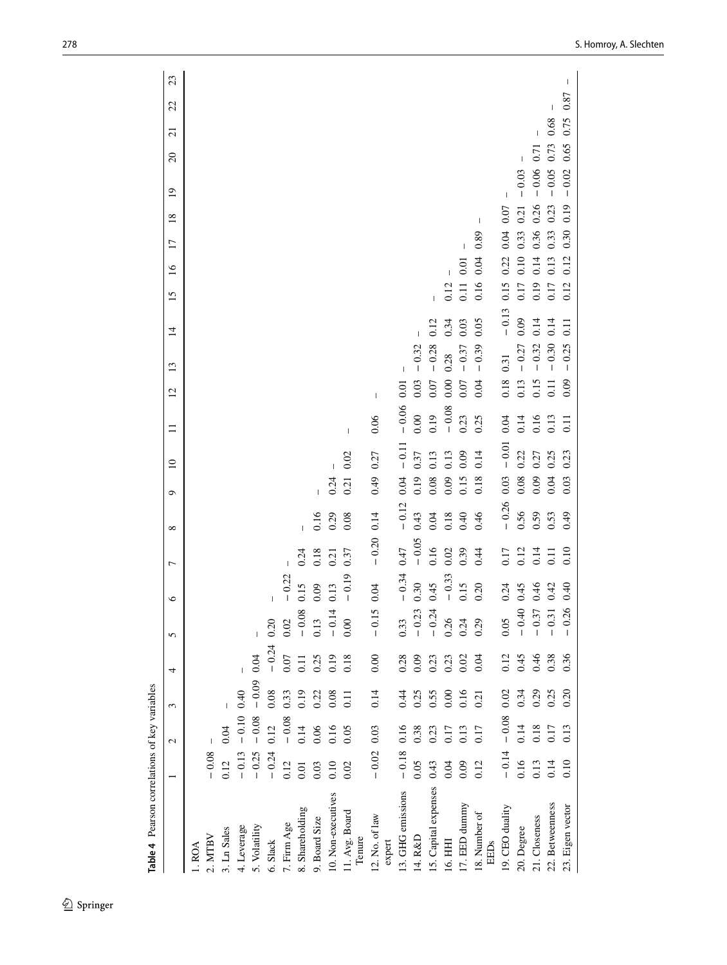<span id="page-9-0"></span>

| Table 4 Pearson correlations of key variables |                          |               |         |         |          |         |                |                |                        |                |                  |                 |                   |          |                       |               |                |          |                |           |    |
|-----------------------------------------------|--------------------------|---------------|---------|---------|----------|---------|----------------|----------------|------------------------|----------------|------------------|-----------------|-------------------|----------|-----------------------|---------------|----------------|----------|----------------|-----------|----|
|                                               | $\overline{\phantom{0}}$ | $\mathcal{L}$ | 3       | 4       | 5        | $\circ$ | 7              | $\infty$       | $\overline{10}$<br>C   | $\equiv$       | $\overline{c}$   | $\overline{13}$ | $\overline{4}$    | 15       | 17<br>$\overline{16}$ | $\frac{8}{2}$ | $\overline{0}$ | $\Omega$ | $\overline{c}$ | 22        | 23 |
| 1. ROA                                        |                          |               |         |         |          |         |                |                |                        |                |                  |                 |                   |          |                       |               |                |          |                |           |    |
| 2. MTBV                                       | $-0.08$                  |               |         |         |          |         |                |                |                        |                |                  |                 |                   |          |                       |               |                |          |                |           |    |
| 3. Ln Sales                                   | 0.12                     | 0.04          |         |         |          |         |                |                |                        |                |                  |                 |                   |          |                       |               |                |          |                |           |    |
| 4. Leverage                                   | $-0.13$                  | $-0.10$ 0.40  |         |         |          |         |                |                |                        |                |                  |                 |                   |          |                       |               |                |          |                |           |    |
| 5. Volatility                                 | $-0.25$                  | $-0.08$       | $-0.09$ | 0.04    |          |         |                |                |                        |                |                  |                 |                   |          |                       |               |                |          |                |           |    |
| 6. Slack                                      | $-0.24$                  | 0.12          | 0.08    | $-0.24$ | 0.20     |         |                |                |                        |                |                  |                 |                   |          |                       |               |                |          |                |           |    |
| 7. Firm Age                                   | 0.12                     | $-0.08$       | 0.33    | $0.07$  | $0.02\,$ | $-0.22$ |                |                |                        |                |                  |                 |                   |          |                       |               |                |          |                |           |    |
| 8. Shareholding                               | $0.01\,$                 | 0.14          | 0.19    | 0.11    | $-0.08$  | 0.15    | 0.24           |                |                        |                |                  |                 |                   |          |                       |               |                |          |                |           |    |
| 9. Board Size                                 | 0.03                     | 0.06          | 0.22    | 0.25    | 0.13     | 0.09    | $0.18\,$       | 0.16           |                        |                |                  |                 |                   |          |                       |               |                |          |                |           |    |
| 10. Non-executives                            | $0.10\,$                 | 0.16          | 0.08    | 0.19    | $-0.14$  | 0.13    | 0.21           | 0.29           | 0.24                   |                |                  |                 |                   |          |                       |               |                |          |                |           |    |
| 11. Avg. Board<br>Tenure                      | 0.02                     | 0.05          | 0.11    | 0.18    | 0.00     | $-0.19$ | 0.37           | 0.08           | 0.02<br>0.21           | $\overline{1}$ |                  |                 |                   |          |                       |               |                |          |                |           |    |
| 12. No. of law<br>expert                      | $-0.02$                  | $0.03\,$      | 0.14    | 0.00    | $-0.15$  | 0.04    | $-0.20$        | 0.14           | 0.27<br>64.0           | 0.06           | $\mathbf{I}$     |                 |                   |          |                       |               |                |          |                |           |    |
| 13. GHG emissions                             | $-0.18$                  | 0.16          | 0.44    | 0.28    | 0.33     | $-0.34$ | 0.47           | $-0.12$        | $-0.11$<br>$0.04\,$    | $-0.06$        | 0.01             |                 |                   |          |                       |               |                |          |                |           |    |
| 14. R&D                                       | 0.05                     | 0.38          | 0.25    | 0.09    | $-0.23$  | 0.30    | $-0.05$        | 0.43           | 0.37<br>0.19           | 0.00           | 0.03             | $-0.32$         |                   |          |                       |               |                |          |                |           |    |
| 15. Capital expenses                          | 0.43                     | 0.23          | 0.55    | 0.23    | $-0.24$  | 0.45    | 0.16           |                | 0.13<br>0.08           | 0.19           | $0.07\,$         | $-0.28$         | 0.12              |          |                       |               |                |          |                |           |    |
| 16. HH                                        | 0.04                     | 0.17          | 0.00    | 0.23    | 0.26     | $-0.33$ | $0.02$<br>0.39 | $0.18$<br>0.18 | 0.13<br>0.09           | $-0.08$        | 0.00             | 0.28            | 0.34              | 0.12     |                       |               |                |          |                |           |    |
| 17. EED dummy                                 | 0.09                     | 0.13          | 0.16    | 0.02    | 0.24     | 0.15    |                |                | 0.09<br>0.15           | 0.23           | 0.07             | $-0.37$         | 0.03              | $0.11$   | 0.01                  |               |                |          |                |           |    |
| 18. Number of<br><b>EED</b> <sub>s</sub>      | 0.12                     | 0.17          | 0.21    | 0.04    | 0.29     | 0.20    | 0.44           | 0.46           | 0.14<br>0.18           | 0.25           | 0.04             | $-0.39$         | 0.05              | 0.16     | 0.89<br>0.04          |               |                |          |                |           |    |
| 19. CEO duality                               | $-0.14$                  | $-0.08$       | 0.02    | 0.12    | 0.05     | 0.24    | 0.17           | $-0.26$        | $-0.01$<br>0.03        | 0.04           | 0.18             | 0.31            | $-0.13$           | 0.15     | 0.04<br>0.22          | 0.07          |                |          |                |           |    |
| 20. Degree                                    | 0.16                     | 0.14          | 0.34    | 0.45    | $-0.40$  | 0.45    | 0.12           | 0.56<br>0.59   | 0.22                   | $0.14$<br>0.16 | $0.13$<br>$0.15$ | $-0.27$         | 0.09              | $0.17\,$ | 0.10                  | 0.21<br>0.33  | $-0.03$        |          |                |           |    |
| 21. Closeness                                 | 0.13                     | 0.18          | 0.29    | 0.46    | $-0.37$  | 0.46    | 0.14           |                | 0.27<br>$0.08$<br>0.09 |                |                  | $-0.32$         | 0.14              | 0.19     | 0.14                  | 0.26<br>0.36  | $-0.06$        | 0.71     |                |           |    |
| 22. Betweenness                               | 0.14                     | 0.17          | 0.25    | 0.38    | $-0.31$  | 0.42    | 0.11           | 0.53           | 0.25<br>0.04           | 0.13           | 0.11             | $-0.30$         | 0.14              | 0.17     | 0.13                  | 0.23<br>0.33  | $-0.05$        | 0.73     | 0.68           |           |    |
| 23. Eigen vector                              | 0.10                     | 0.13          | 0.20    | 0.36    | 0.26     | 0.40    | 0.10           | 0.49           | 0.23<br>0.03           | 0.11           | 0.09             | $-0.25$         | $\overline{0.11}$ | 0.12     | 0.12                  | 0.19<br>0.30  | 0.02           | 0.65     | 0.75           | 1<br>0.87 |    |
|                                               |                          |               |         |         |          |         |                |                |                        |                |                  |                 |                   |          |                       |               |                |          |                |           |    |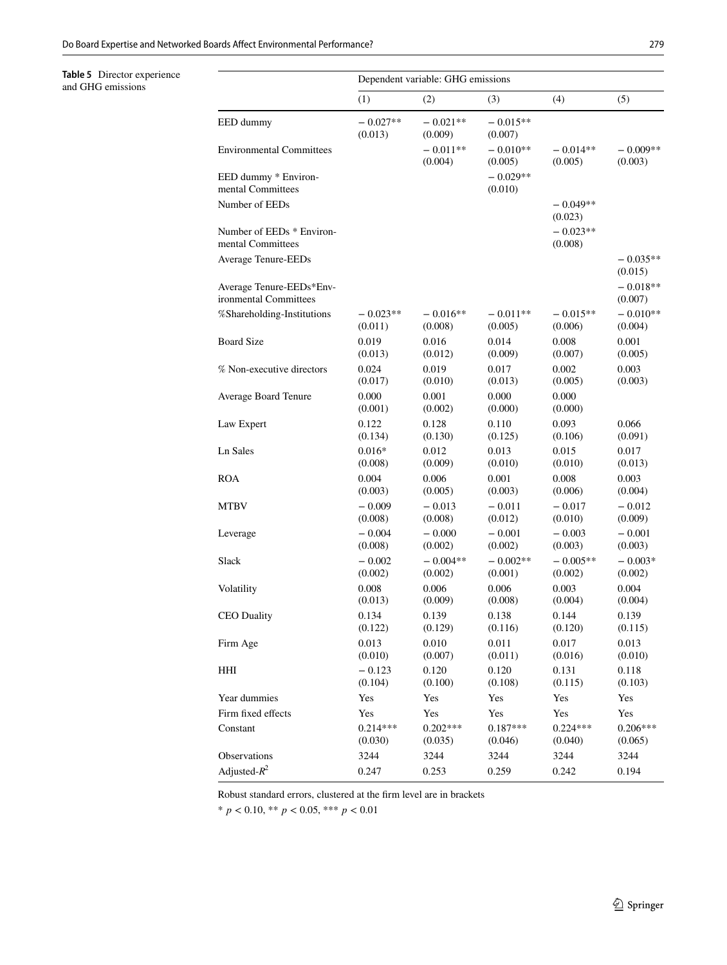<span id="page-10-0"></span>**Table 5** Director experience and GHG emissions

|                                                   | Dependent variable: GHG emissions |                       |                       |                       |                       |  |  |
|---------------------------------------------------|-----------------------------------|-----------------------|-----------------------|-----------------------|-----------------------|--|--|
|                                                   | (1)                               | (2)                   | (3)                   | (4)                   | (5)                   |  |  |
| EED dummy                                         | $-0.027**$<br>(0.013)             | $-0.021**$<br>(0.009) | $-0.015**$<br>(0.007) |                       |                       |  |  |
| <b>Environmental Committees</b>                   |                                   | $-0.011**$<br>(0.004) | $-0.010**$<br>(0.005) | $-0.014**$<br>(0.005) | $-0.009**$<br>(0.003) |  |  |
| EED dummy * Environ-<br>mental Committees         |                                   |                       | $-0.029**$<br>(0.010) |                       |                       |  |  |
| Number of EEDs                                    |                                   |                       |                       | $-0.049**$<br>(0.023) |                       |  |  |
| Number of EEDs * Environ-<br>mental Committees    |                                   |                       |                       | $-0.023**$<br>(0.008) |                       |  |  |
| Average Tenure-EEDs                               |                                   |                       |                       |                       | $-0.035**$<br>(0.015) |  |  |
| Average Tenure-EEDs*Env-<br>ironmental Committees |                                   |                       |                       |                       | $-0.018**$<br>(0.007) |  |  |
| %Shareholding-Institutions                        | $-0.023**$                        | $-0.016**$            | $-0.011**$            | $-0.015**$            | $-0.010**$            |  |  |
|                                                   | (0.011)                           | (0.008)               | (0.005)               | (0.006)               | (0.004)               |  |  |
| <b>Board Size</b>                                 | 0.019                             | 0.016                 | 0.014                 | 0.008                 | 0.001                 |  |  |
|                                                   | (0.013)                           | (0.012)               | (0.009)               | (0.007)               | (0.005)               |  |  |
| % Non-executive directors                         | 0.024                             | 0.019                 | 0.017                 | 0.002                 | 0.003                 |  |  |
|                                                   | (0.017)                           | (0.010)               | (0.013)               | (0.005)               | (0.003)               |  |  |
| Average Board Tenure                              | 0.000<br>(0.001)                  | 0.001<br>(0.002)      | 0.000<br>(0.000)      | 0.000<br>(0.000)      |                       |  |  |
| Law Expert                                        | 0.122                             | 0.128                 | 0.110                 | 0.093                 | 0.066                 |  |  |
|                                                   | (0.134)                           | (0.130)               | (0.125)               | (0.106)               | (0.091)               |  |  |
| Ln Sales                                          | $0.016*$                          | 0.012                 | 0.013                 | 0.015                 | 0.017                 |  |  |
|                                                   | (0.008)                           | (0.009)               | (0.010)               | (0.010)               | (0.013)               |  |  |
| <b>ROA</b>                                        | 0.004                             | 0.006                 | 0.001                 | 0.008                 | 0.003                 |  |  |
|                                                   | (0.003)                           | (0.005)               | (0.003)               | (0.006)               | (0.004)               |  |  |
| <b>MTBV</b>                                       | $-0.009$                          | $-0.013$              | $-0.011$              | $-0.017$              | $-0.012$              |  |  |
|                                                   | (0.008)                           | (0.008)               | (0.012)               | (0.010)               | (0.009)               |  |  |
| Leverage                                          | $-0.004$                          | $-0.000$              | $-0.001$              | $-0.003$              | $-0.001$              |  |  |
|                                                   | (0.008)                           | (0.002)               | (0.002)               | (0.003)               | (0.003)               |  |  |
| Slack                                             | $-0.002$                          | $-0.004**$            | $-0.002**$            | $-0.005**$            | $-0.003*$             |  |  |
|                                                   | (0.002)                           | (0.002)               | (0.001)               | (0.002)               | (0.002)               |  |  |
| Volatility                                        | 0.008                             | 0.006                 | 0.006                 | 0.003                 | 0.004                 |  |  |
|                                                   | (0.013)                           | (0.009)               | (0.008)               | (0.004)               | (0.004)               |  |  |
| <b>CEO</b> Duality                                | 0.134                             | 0.139                 | 0.138                 | 0.144                 | 0.139                 |  |  |
|                                                   | (0.122)                           | (0.129)               | (0.116)               | (0.120)               | (0.115)               |  |  |
| Firm Age                                          | 0.013                             | 0.010                 | 0.011                 | 0.017                 | 0.013                 |  |  |
|                                                   | (0.010)                           | (0.007)               | (0.011)               | (0.016)               | (0.010)               |  |  |
| HHI                                               | $-0.123$                          | 0.120                 | 0.120                 | 0.131                 | 0.118                 |  |  |
|                                                   | (0.104)                           | (0.100)               | (0.108)               | (0.115)               | (0.103)               |  |  |
| Year dummies                                      | Yes                               | Yes                   | Yes                   | Yes                   | Yes                   |  |  |
| Firm fixed effects                                | Yes                               | Yes                   | Yes                   | Yes                   | Yes                   |  |  |
| Constant                                          | $0.214***$                        | $0.202***$            | $0.187***$            | $0.224***$            | $0.206***$            |  |  |
|                                                   | (0.030)                           | (0.035)               | (0.046)               | (0.040)               | (0.065)               |  |  |
| Observations                                      | 3244                              | 3244                  | 3244                  | 3244                  | 3244                  |  |  |
| Adjusted- $R^2$                                   | 0.247                             | 0.253                 | 0.259                 | 0.242                 | 0.194                 |  |  |

Robust standard errors, clustered at the frm level are in brackets

\* *p <* 0.10, \*\* *p <* 0.05, \*\*\* *p <* 0.01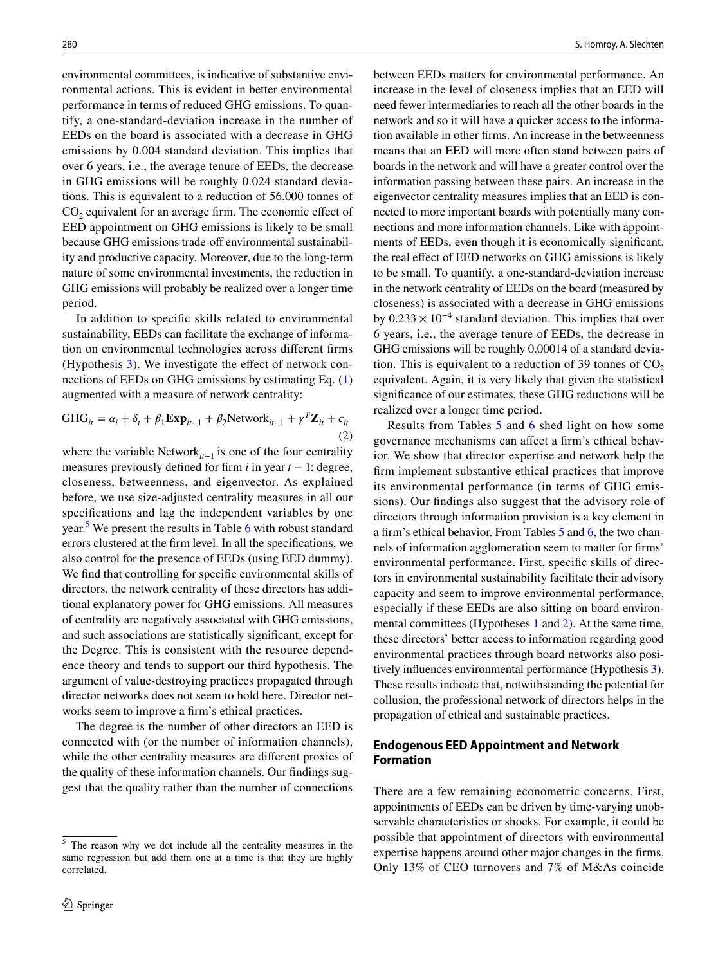environmental committees, is indicative of substantive environmental actions. This is evident in better environmental performance in terms of reduced GHG emissions. To quantify, a one-standard-deviation increase in the number of EEDs on the board is associated with a decrease in GHG emissions by 0.004 standard deviation. This implies that over 6 years, i.e., the average tenure of EEDs, the decrease in GHG emissions will be roughly 0.024 standard deviations. This is equivalent to a reduction of 56,000 tonnes of CO<sub>2</sub> equivalent for an average firm. The economic effect of EED appointment on GHG emissions is likely to be small because GHG emissions trade-off environmental sustainability and productive capacity. Moreover, due to the long-term nature of some environmental investments, the reduction in GHG emissions will probably be realized over a longer time period.

In addition to specifc skills related to environmental sustainability, EEDs can facilitate the exchange of information on environmental technologies across diferent frms (Hypothesis  $3$ ). We investigate the effect of network connections of EEDs on GHG emissions by estimating Eq. ([1\)](#page-8-1) augmented with a measure of network centrality:

$$
GHG_{it} = \alpha_i + \delta_t + \beta_1 \mathbf{Exp}_{it-1} + \beta_2 \text{Network}_{it-1} + \gamma^T \mathbf{Z}_{it} + \epsilon_{it}
$$
\n(2)

where the variable Network<sub>*it*−1</sub> is one of the four centrality measures previously defned for frm *i* in year *t* − 1: degree, closeness, betweenness, and eigenvector. As explained before, we use size-adjusted centrality measures in all our specifcations and lag the independent variables by one year.<sup>[5](#page-11-0)</sup> We present the results in Table [6](#page-12-0) with robust standard errors clustered at the frm level. In all the specifcations, we also control for the presence of EEDs (using EED dummy). We fnd that controlling for specifc environmental skills of directors, the network centrality of these directors has additional explanatory power for GHG emissions. All measures of centrality are negatively associated with GHG emissions, and such associations are statistically signifcant, except for the Degree. This is consistent with the resource dependence theory and tends to support our third hypothesis. The argument of value-destroying practices propagated through director networks does not seem to hold here. Director networks seem to improve a frm's ethical practices.

The degree is the number of other directors an EED is connected with (or the number of information channels), while the other centrality measures are diferent proxies of the quality of these information channels. Our fndings suggest that the quality rather than the number of connections between EEDs matters for environmental performance. An increase in the level of closeness implies that an EED will need fewer intermediaries to reach all the other boards in the network and so it will have a quicker access to the information available in other frms. An increase in the betweenness means that an EED will more often stand between pairs of boards in the network and will have a greater control over the information passing between these pairs. An increase in the eigenvector centrality measures implies that an EED is connected to more important boards with potentially many connections and more information channels. Like with appointments of EEDs, even though it is economically signifcant, the real effect of EED networks on GHG emissions is likely to be small. To quantify, a one-standard-deviation increase in the network centrality of EEDs on the board (measured by closeness) is associated with a decrease in GHG emissions by  $0.233 \times 10^{-4}$  standard deviation. This implies that over 6 years, i.e., the average tenure of EEDs, the decrease in GHG emissions will be roughly 0.00014 of a standard deviation. This is equivalent to a reduction of 39 tonnes of  $CO<sub>2</sub>$ equivalent. Again, it is very likely that given the statistical signifcance of our estimates, these GHG reductions will be realized over a longer time period.

Results from Tables [5](#page-10-0) and [6](#page-12-0) shed light on how some governance mechanisms can afect a frm's ethical behavior. We show that director expertise and network help the frm implement substantive ethical practices that improve its environmental performance (in terms of GHG emissions). Our fndings also suggest that the advisory role of directors through information provision is a key element in a frm's ethical behavior. From Tables [5](#page-10-0) and [6](#page-12-0), the two channels of information agglomeration seem to matter for frms' environmental performance. First, specifc skills of directors in environmental sustainability facilitate their advisory capacity and seem to improve environmental performance, especially if these EEDs are also sitting on board environmental committees (Hypotheses [1](#page-3-0) and [2](#page-4-0)). At the same time, these directors' better access to information regarding good environmental practices through board networks also positively infuences environmental performance (Hypothesis [3](#page-4-1)). These results indicate that, notwithstanding the potential for collusion, the professional network of directors helps in the propagation of ethical and sustainable practices.

## **Endogenous EED Appointment and Network Formation**

There are a few remaining econometric concerns. First, appointments of EEDs can be driven by time-varying unobservable characteristics or shocks. For example, it could be possible that appointment of directors with environmental expertise happens around other major changes in the frms. Only 13% of CEO turnovers and 7% of M&As coincide

<span id="page-11-0"></span><sup>5</sup> The reason why we dot include all the centrality measures in the same regression but add them one at a time is that they are highly correlated.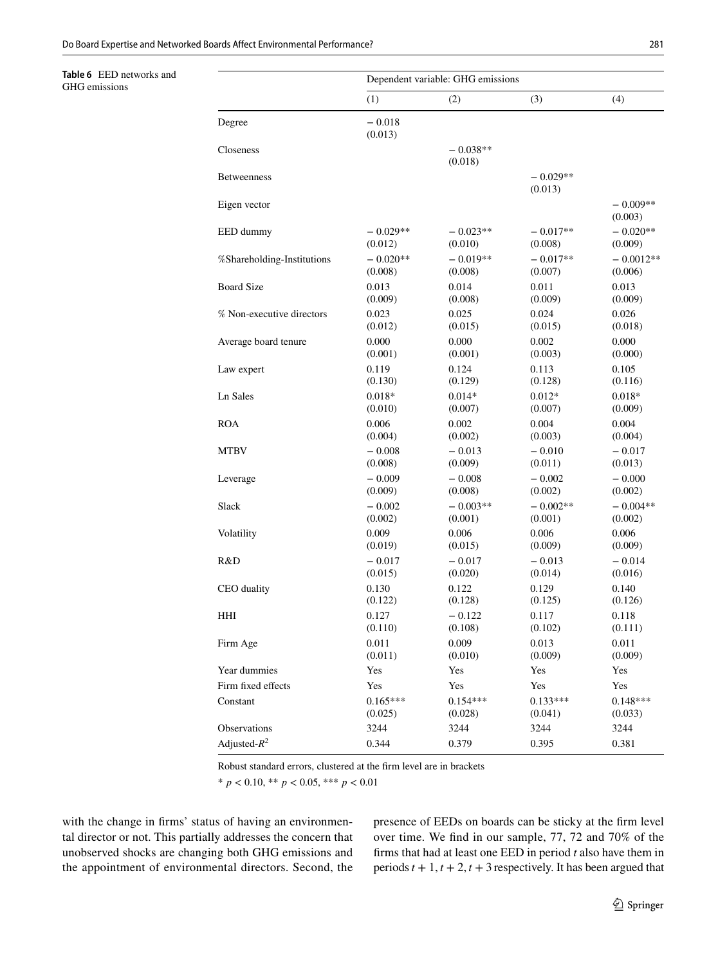<span id="page-12-0"></span>**Table 6** EED networks and

GHG emissions

|                            | Dependent variable: GHG emissions |                       |                       |                       |  |  |
|----------------------------|-----------------------------------|-----------------------|-----------------------|-----------------------|--|--|
|                            | (1)                               | (2)                   | (3)                   | (4)                   |  |  |
| Degree                     | $-0.018$<br>(0.013)               |                       |                       |                       |  |  |
| Closeness                  |                                   | $-0.038**$<br>(0.018) |                       |                       |  |  |
| <b>Betweenness</b>         |                                   |                       | $-0.029**$<br>(0.013) |                       |  |  |
| Eigen vector               |                                   |                       |                       | $-0.009**$<br>(0.003) |  |  |
| EED dummy                  | $-0.029**$                        | $-0.023**$            | $-0.017**$            | $-0.020**$            |  |  |
|                            | (0.012)                           | (0.010)               | (0.008)               | (0.009)               |  |  |
| %Shareholding-Institutions | $-0.020**$                        | $-0.019**$            | $-0.017**$            | $-0.0012**$           |  |  |
|                            | (0.008)                           | (0.008)               | (0.007)               | (0.006)               |  |  |
| <b>Board Size</b>          | 0.013                             | 0.014                 | 0.011                 | 0.013                 |  |  |
|                            | (0.009)                           | (0.008)               | (0.009)               | (0.009)               |  |  |
| % Non-executive directors  | 0.023                             | 0.025                 | 0.024                 | 0.026                 |  |  |
|                            | (0.012)                           | (0.015)               | (0.015)               | (0.018)               |  |  |
| Average board tenure       | 0.000                             | 0.000                 | 0.002                 | 0.000                 |  |  |
|                            | (0.001)                           | (0.001)               | (0.003)               | (0.000)               |  |  |
| Law expert                 | 0.119                             | 0.124                 | 0.113                 | 0.105                 |  |  |
|                            | (0.130)                           | (0.129)               | (0.128)               | (0.116)               |  |  |
| Ln Sales                   | $0.018*$                          | $0.014*$              | $0.012*$              | $0.018*$              |  |  |
|                            | (0.010)                           | (0.007)               | (0.007)               | (0.009)               |  |  |
| <b>ROA</b>                 | 0.006                             | 0.002                 | 0.004                 | 0.004                 |  |  |
|                            | (0.004)                           | (0.002)               | (0.003)               | (0.004)               |  |  |
| MTBV                       | $-0.008$                          | $-0.013$              | $-0.010$              | $-0.017$              |  |  |
|                            | (0.008)                           | (0.009)               | (0.011)               | (0.013)               |  |  |
| Leverage                   | $-0.009$                          | $-0.008$              | $-0.002$              | $-0.000$              |  |  |
|                            | (0.009)                           | (0.008)               | (0.002)               | (0.002)               |  |  |
| Slack                      | $-0.002$                          | $-0.003**$            | $-0.002**$            | $-0.004**$            |  |  |
|                            | (0.002)                           | (0.001)               | (0.001)               | (0.002)               |  |  |
| Volatility                 | 0.009                             | 0.006                 | 0.006                 | 0.006                 |  |  |
|                            | (0.019)                           | (0.015)               | (0.009)               | (0.009)               |  |  |
| R&D                        | $-0.017$                          | $-0.017$              | $-0.013$              | $-0.014$              |  |  |
|                            | (0.015)                           | (0.020)               | (0.014)               | (0.016)               |  |  |
| CEO duality                | 0.130                             | 0.122                 | 0.129                 | 0.140                 |  |  |
|                            | (0.122)                           | (0.128)               | (0.125)               | (0.126)               |  |  |
| HHI                        | 0.127                             | $-0.122$              | 0.117                 | 0.118                 |  |  |
|                            | (0.110)                           | (0.108)               | (0.102)               | (0.111)               |  |  |
| Firm Age                   | 0.011                             | 0.009                 | 0.013                 | 0.011                 |  |  |
|                            | (0.011)                           | (0.010)               | (0.009)               | (0.009)               |  |  |
| Year dummies               | Yes                               | Yes                   | Yes                   | Yes                   |  |  |
| Firm fixed effects         | Yes                               | Yes                   | Yes                   | Yes                   |  |  |
| Constant                   | $0.165***$                        | $0.154***$            | $0.133***$            | $0.148***$            |  |  |
|                            | (0.025)                           | (0.028)               | (0.041)               | (0.033)               |  |  |
| Observations               | 3244                              | 3244                  | 3244                  | 3244                  |  |  |
| Adjusted- $R^2$            | 0.344                             | 0.379                 | 0.395                 | 0.381                 |  |  |

Robust standard errors, clustered at the frm level are in brackets

 $*$   $p$  < 0.10,  $*$   $*$   $p$  < 0.05,  $*$   $*$   $*$   $p$  < 0.01

with the change in firms' status of having an environmental director or not. This partially addresses the concern that unobserved shocks are changing both GHG emissions and the appointment of environmental directors. Second, the presence of EEDs on boards can be sticky at the frm level over time. We fnd in our sample, 77, 72 and 70% of the frms that had at least one EED in period *t* also have them in periods  $t + 1$ ,  $t + 2$ ,  $t + 3$  respectively. It has been argued that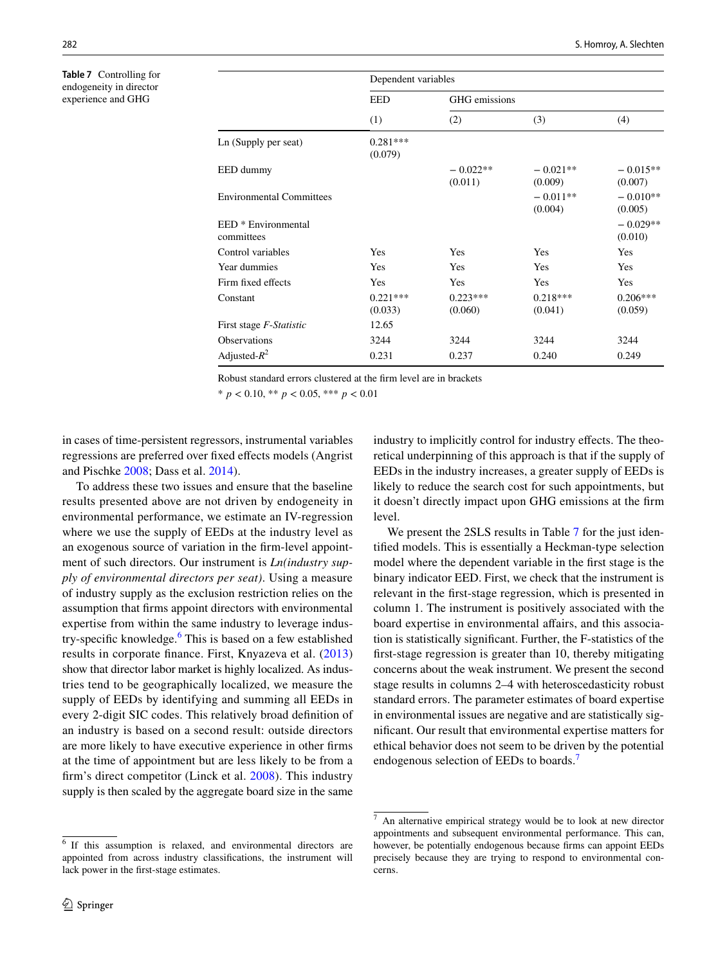<span id="page-13-1"></span>**Table 7** Controlling for endogeneity in director experience and GHG

|                                   | Dependent variables   |                       |                       |                       |
|-----------------------------------|-----------------------|-----------------------|-----------------------|-----------------------|
|                                   | <b>EED</b>            | GHG emissions         |                       |                       |
|                                   | (1)                   | (2)                   | (3)                   | (4)                   |
| Ln (Supply per seat)              | $0.281***$<br>(0.079) |                       |                       |                       |
| EED dummy                         |                       | $-0.022**$<br>(0.011) | $-0.021**$<br>(0.009) | $-0.015**$<br>(0.007) |
| <b>Environmental Committees</b>   |                       |                       | $-0.011**$<br>(0.004) | $-0.010**$<br>(0.005) |
| EED * Environmental<br>committees |                       |                       |                       | $-0.029**$<br>(0.010) |
| Control variables                 | Yes                   | Yes                   | Yes                   | Yes                   |
| Year dummies                      | Yes                   | Yes                   | Yes                   | Yes                   |
| Firm fixed effects                | Yes                   | Yes                   | Yes                   | Yes                   |
| Constant                          | $0.221***$<br>(0.033) | $0.223***$<br>(0.060) | $0.218***$<br>(0.041) | $0.206***$<br>(0.059) |
| First stage <i>F-Statistic</i>    | 12.65                 |                       |                       |                       |
| Observations                      | 3244                  | 3244                  | 3244                  | 3244                  |
| Adjusted- $R^2$                   | 0.231                 | 0.237                 | 0.240                 | 0.249                 |

Robust standard errors clustered at the frm level are in brackets

 $*$  *p* < 0.10, \*\* *p* < 0.05, \*\*\* *p* < 0.01

in cases of time-persistent regressors, instrumental variables regressions are preferred over fxed efects models (Angrist and Pischke [2008;](#page-22-11) Dass et al. [2014](#page-22-3)).

To address these two issues and ensure that the baseline results presented above are not driven by endogeneity in environmental performance, we estimate an IV-regression where we use the supply of EEDs at the industry level as an exogenous source of variation in the frm-level appointment of such directors. Our instrument is *Ln(industry supply of environmental directors per seat)*. Using a measure of industry supply as the exclusion restriction relies on the assumption that frms appoint directors with environmental expertise from within the same industry to leverage indus-try-specific knowledge.<sup>[6](#page-13-0)</sup> This is based on a few established results in corporate fnance. First, Knyazeva et al. [\(2013\)](#page-23-31) show that director labor market is highly localized. As industries tend to be geographically localized, we measure the supply of EEDs by identifying and summing all EEDs in every 2-digit SIC codes. This relatively broad defnition of an industry is based on a second result: outside directors are more likely to have executive experience in other frms at the time of appointment but are less likely to be from a firm's direct competitor (Linck et al. [2008](#page-23-32)). This industry supply is then scaled by the aggregate board size in the same

<span id="page-13-0"></span><sup>6</sup> If this assumption is relaxed, and environmental directors are appointed from across industry classifcations, the instrument will lack power in the frst-stage estimates.

industry to implicitly control for industry effects. The theoretical underpinning of this approach is that if the supply of EEDs in the industry increases, a greater supply of EEDs is likely to reduce the search cost for such appointments, but it doesn't directly impact upon GHG emissions at the frm level.

We present the 2SLS results in Table [7](#page-13-1) for the just identifed models. This is essentially a Heckman-type selection model where the dependent variable in the frst stage is the binary indicator EED. First, we check that the instrument is relevant in the frst-stage regression, which is presented in column 1. The instrument is positively associated with the board expertise in environmental affairs, and this association is statistically signifcant. Further, the F-statistics of the frst-stage regression is greater than 10, thereby mitigating concerns about the weak instrument. We present the second stage results in columns 2–4 with heteroscedasticity robust standard errors. The parameter estimates of board expertise in environmental issues are negative and are statistically signifcant. Our result that environmental expertise matters for ethical behavior does not seem to be driven by the potential endogenous selection of EEDs to boards.<sup>[7](#page-13-2)</sup>

<span id="page-13-2"></span><sup>7</sup> An alternative empirical strategy would be to look at new director appointments and subsequent environmental performance. This can, however, be potentially endogenous because frms can appoint EEDs precisely because they are trying to respond to environmental concerns.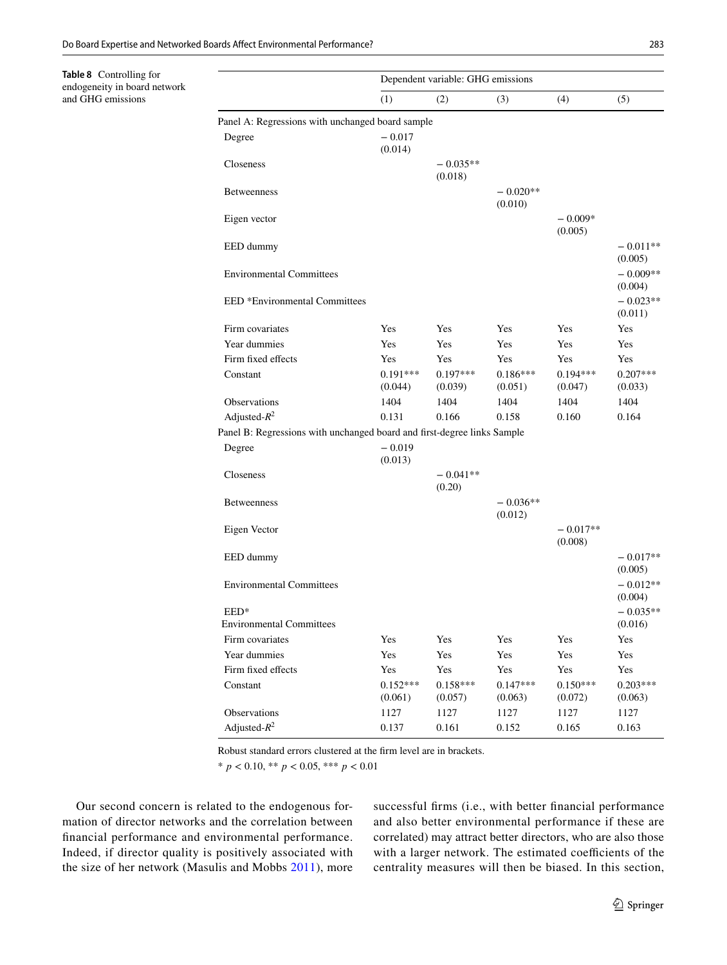<span id="page-14-0"></span>

| <b>Table 8</b> Controlling for |
|--------------------------------|
| endogeneity in board network   |
| and GHG emissions              |

|                                                                         | Dependent variable: GHG emissions |                       |                       |                       |                       |  |
|-------------------------------------------------------------------------|-----------------------------------|-----------------------|-----------------------|-----------------------|-----------------------|--|
|                                                                         | (1)                               | (2)                   | (3)                   | (4)                   | (5)                   |  |
| Panel A: Regressions with unchanged board sample                        |                                   |                       |                       |                       |                       |  |
| Degree                                                                  | $-0.017$<br>(0.014)               |                       |                       |                       |                       |  |
| Closeness                                                               |                                   | $-0.035**$<br>(0.018) |                       |                       |                       |  |
| <b>Betweenness</b>                                                      |                                   |                       | $-0.020**$<br>(0.010) |                       |                       |  |
| Eigen vector                                                            |                                   |                       |                       | $-0.009*$<br>(0.005)  |                       |  |
| EED dummy                                                               |                                   |                       |                       |                       | $-0.011**$<br>(0.005) |  |
| <b>Environmental Committees</b>                                         |                                   |                       |                       |                       | $-0.009**$<br>(0.004) |  |
| EED *Environmental Committees                                           |                                   |                       |                       |                       | $-0.023**$<br>(0.011) |  |
| Firm covariates                                                         | Yes                               | Yes                   | Yes                   | Yes                   | Yes                   |  |
| Year dummies                                                            | Yes                               | Yes                   | Yes                   | Yes                   | Yes                   |  |
| Firm fixed effects                                                      | Yes                               | Yes                   | Yes                   | Yes                   | Yes                   |  |
| Constant                                                                | $0.191***$<br>(0.044)             | $0.197***$<br>(0.039) | $0.186***$<br>(0.051) | $0.194***$<br>(0.047) | $0.207***$<br>(0.033) |  |
| Observations                                                            | 1404                              | 1404                  | 1404                  | 1404                  | 1404                  |  |
| Adjusted- $R^2$                                                         | 0.131                             | 0.166                 | 0.158                 | 0.160                 | 0.164                 |  |
| Panel B: Regressions with unchanged board and first-degree links Sample |                                   |                       |                       |                       |                       |  |
| Degree                                                                  | $-0.019$<br>(0.013)               |                       |                       |                       |                       |  |
| Closeness                                                               |                                   | $-0.041**$<br>(0.20)  |                       |                       |                       |  |
| <b>Betweenness</b>                                                      |                                   |                       | $-0.036**$<br>(0.012) |                       |                       |  |
| Eigen Vector                                                            |                                   |                       |                       | $-0.017**$<br>(0.008) |                       |  |
| EED dummy                                                               |                                   |                       |                       |                       | $-0.017**$<br>(0.005) |  |
| <b>Environmental Committees</b>                                         |                                   |                       |                       |                       | $-0.012**$<br>(0.004) |  |
| $EED*$<br><b>Environmental Committees</b>                               |                                   |                       |                       |                       | $-0.035**$<br>(0.016) |  |
| Firm covariates                                                         | Yes                               | Yes                   | Yes                   | Yes                   | Yes                   |  |
| Year dummies                                                            | Yes                               | Yes                   | Yes                   | Yes                   | Yes                   |  |
| Firm fixed effects                                                      | Yes                               | Yes                   | Yes                   | Yes                   | Yes                   |  |
| Constant                                                                | $0.152***$<br>(0.061)             | $0.158***$<br>(0.057) | $0.147***$<br>(0.063) | $0.150***$<br>(0.072) | $0.203***$<br>(0.063) |  |
| Observations                                                            | 1127                              | 1127                  | 1127                  | 1127                  | 1127                  |  |
| Adjusted- $R^2$                                                         | 0.137                             | 0.161                 | 0.152                 | 0.165                 | 0.163                 |  |

Robust standard errors clustered at the frm level are in brackets.

 $*$   $p$  < 0.10,  $*$   $*$   $p$  < 0.05,  $*$   $*$   $*$   $p$  < 0.01

Our second concern is related to the endogenous formation of director networks and the correlation between fnancial performance and environmental performance. Indeed, if director quality is positively associated with the size of her network (Masulis and Mobbs [2011](#page-23-2)), more successful frms (i.e., with better fnancial performance and also better environmental performance if these are correlated) may attract better directors, who are also those with a larger network. The estimated coefficients of the centrality measures will then be biased. In this section,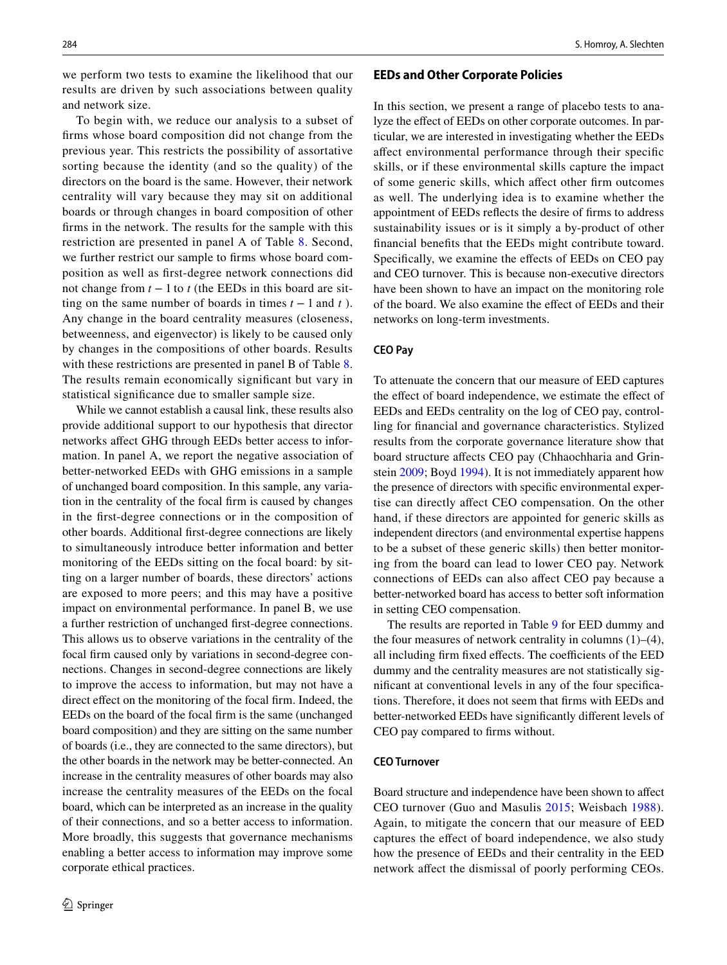we perform two tests to examine the likelihood that our results are driven by such associations between quality and network size.

To begin with, we reduce our analysis to a subset of frms whose board composition did not change from the previous year. This restricts the possibility of assortative sorting because the identity (and so the quality) of the directors on the board is the same. However, their network centrality will vary because they may sit on additional boards or through changes in board composition of other frms in the network. The results for the sample with this restriction are presented in panel A of Table [8.](#page-14-0) Second, we further restrict our sample to frms whose board composition as well as frst-degree network connections did not change from  $t - 1$  to  $t$  (the EEDs in this board are sitting on the same number of boards in times  $t - 1$  and  $t$ ). Any change in the board centrality measures (closeness, betweenness, and eigenvector) is likely to be caused only by changes in the compositions of other boards. Results with these restrictions are presented in panel B of Table [8.](#page-14-0) The results remain economically signifcant but vary in statistical signifcance due to smaller sample size.

While we cannot establish a causal link, these results also provide additional support to our hypothesis that director networks afect GHG through EEDs better access to information. In panel A, we report the negative association of better-networked EEDs with GHG emissions in a sample of unchanged board composition. In this sample, any variation in the centrality of the focal frm is caused by changes in the frst-degree connections or in the composition of other boards. Additional frst-degree connections are likely to simultaneously introduce better information and better monitoring of the EEDs sitting on the focal board: by sitting on a larger number of boards, these directors' actions are exposed to more peers; and this may have a positive impact on environmental performance. In panel B, we use a further restriction of unchanged frst-degree connections. This allows us to observe variations in the centrality of the focal frm caused only by variations in second-degree connections. Changes in second-degree connections are likely to improve the access to information, but may not have a direct effect on the monitoring of the focal firm. Indeed, the EEDs on the board of the focal frm is the same (unchanged board composition) and they are sitting on the same number of boards (i.e., they are connected to the same directors), but the other boards in the network may be better-connected. An increase in the centrality measures of other boards may also increase the centrality measures of the EEDs on the focal board, which can be interpreted as an increase in the quality of their connections, and so a better access to information. More broadly, this suggests that governance mechanisms enabling a better access to information may improve some corporate ethical practices.

### **EEDs and Other Corporate Policies**

In this section, we present a range of placebo tests to analyze the effect of EEDs on other corporate outcomes. In particular, we are interested in investigating whether the EEDs afect environmental performance through their specifc skills, or if these environmental skills capture the impact of some generic skills, which afect other frm outcomes as well. The underlying idea is to examine whether the appointment of EEDs refects the desire of frms to address sustainability issues or is it simply a by-product of other fnancial benefts that the EEDs might contribute toward. Specifically, we examine the effects of EEDs on CEO pay and CEO turnover. This is because non-executive directors have been shown to have an impact on the monitoring role of the board. We also examine the efect of EEDs and their networks on long-term investments.

#### **CEO Pay**

To attenuate the concern that our measure of EED captures the effect of board independence, we estimate the effect of EEDs and EEDs centrality on the log of CEO pay, controlling for fnancial and governance characteristics. Stylized results from the corporate governance literature show that board structure afects CEO pay (Chhaochharia and Grinstein [2009;](#page-22-12) Boyd [1994\)](#page-22-13). It is not immediately apparent how the presence of directors with specifc environmental expertise can directly afect CEO compensation. On the other hand, if these directors are appointed for generic skills as independent directors (and environmental expertise happens to be a subset of these generic skills) then better monitoring from the board can lead to lower CEO pay. Network connections of EEDs can also afect CEO pay because a better-networked board has access to better soft information in setting CEO compensation.

The results are reported in Table [9](#page-16-0) for EED dummy and the four measures of network centrality in columns (1)–(4), all including firm fixed effects. The coefficients of the EED dummy and the centrality measures are not statistically signifcant at conventional levels in any of the four specifcations. Therefore, it does not seem that frms with EEDs and better-networked EEDs have signifcantly diferent levels of CEO pay compared to frms without.

#### **CEO Turnover**

Board structure and independence have been shown to afect CEO turnover (Guo and Masulis [2015;](#page-23-26) Weisbach [1988](#page-23-33)). Again, to mitigate the concern that our measure of EED captures the efect of board independence, we also study how the presence of EEDs and their centrality in the EED network afect the dismissal of poorly performing CEOs.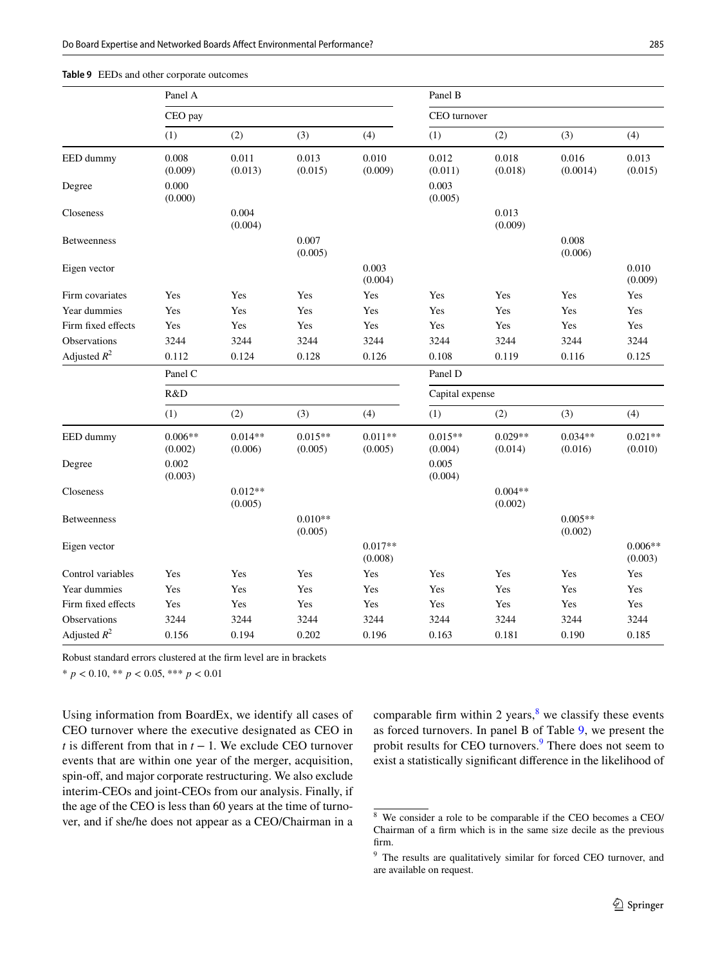|                     | Panel A              |                      |                      |                      | Panel B              |                      |                      |                      |
|---------------------|----------------------|----------------------|----------------------|----------------------|----------------------|----------------------|----------------------|----------------------|
|                     | CEO pay              |                      |                      |                      | CEO turnover         |                      |                      |                      |
|                     | (1)                  | (2)                  | (3)                  | (4)                  | (1)                  | (2)                  | (3)                  | (4)                  |
| EED dummy           | 0.008<br>(0.009)     | 0.011<br>(0.013)     | 0.013<br>(0.015)     | 0.010<br>(0.009)     | 0.012<br>(0.011)     | 0.018<br>(0.018)     | 0.016<br>(0.0014)    | 0.013<br>(0.015)     |
| Degree              | 0.000<br>(0.000)     |                      |                      |                      | 0.003<br>(0.005)     |                      |                      |                      |
| Closeness           |                      | 0.004<br>(0.004)     |                      |                      |                      | 0.013<br>(0.009)     |                      |                      |
| <b>Betweenness</b>  |                      |                      | 0.007<br>(0.005)     |                      |                      |                      | 0.008<br>(0.006)     |                      |
| Eigen vector        |                      |                      |                      | 0.003<br>(0.004)     |                      |                      |                      | 0.010<br>(0.009)     |
| Firm covariates     | Yes                  | Yes                  | Yes                  | Yes                  | Yes                  | Yes                  | Yes                  | Yes                  |
| Year dummies        | Yes                  | Yes                  | Yes                  | Yes                  | Yes                  | Yes                  | Yes                  | Yes                  |
| Firm fixed effects  | Yes                  | Yes                  | Yes                  | Yes                  | Yes                  | Yes                  | Yes                  | Yes                  |
| <b>Observations</b> | 3244                 | 3244                 | 3244                 | 3244                 | 3244                 | 3244                 | 3244                 | 3244                 |
| Adjusted $R^2$      | 0.112                | 0.124                | 0.128                | 0.126                | 0.108                | 0.119                | 0.116                | 0.125                |
|                     | Panel C              |                      |                      |                      | Panel D              |                      |                      |                      |
|                     | R&D                  |                      |                      |                      | Capital expense      |                      |                      |                      |
|                     | (1)                  | (2)                  | (3)                  | (4)                  | (1)                  | (2)                  | (3)                  | (4)                  |
| EED dummy           | $0.006**$<br>(0.002) | $0.014**$<br>(0.006) | $0.015**$<br>(0.005) | $0.011**$<br>(0.005) | $0.015**$<br>(0.004) | $0.029**$<br>(0.014) | $0.034**$<br>(0.016) | $0.021**$<br>(0.010) |
| Degree              | 0.002<br>(0.003)     |                      |                      |                      | 0.005<br>(0.004)     |                      |                      |                      |
| Closeness           |                      | $0.012**$<br>(0.005) |                      |                      |                      | $0.004**$<br>(0.002) |                      |                      |
| Betweenness         |                      |                      | $0.010**$<br>(0.005) |                      |                      |                      | $0.005**$<br>(0.002) |                      |
| Eigen vector        |                      |                      |                      | $0.017**$<br>(0.008) |                      |                      |                      | $0.006**$<br>(0.003) |
| Control variables   | Yes                  | Yes                  | Yes                  | Yes                  | Yes                  | Yes                  | Yes                  | Yes                  |
| Year dummies        | Yes                  | Yes                  | Yes                  | Yes                  | Yes                  | Yes                  | Yes                  | Yes                  |
| Firm fixed effects  | Yes                  | Yes                  | Yes                  | Yes                  | Yes                  | Yes                  | Yes                  | Yes                  |
| Observations        | 3244                 | 3244                 | 3244                 | 3244                 | 3244                 | 3244                 | 3244                 | 3244                 |
| Adjusted $R^2$      | 0.156                | 0.194                | 0.202                | 0.196                | 0.163                | 0.181                | 0.190                | 0.185                |

#### <span id="page-16-0"></span>**Table 9** EEDs and other corporate outcomes

Robust standard errors clustered at the frm level are in brackets

\* *p <* 0.10, \*\* *p <* 0.05, \*\*\* *p <* 0.01

Using information from BoardEx, we identify all cases of CEO turnover where the executive designated as CEO in *t* is diferent from that in *t* − 1. We exclude CEO turnover events that are within one year of the merger, acquisition, spin-off, and major corporate restructuring. We also exclude interim-CEOs and joint-CEOs from our analysis. Finally, if the age of the CEO is less than 60 years at the time of turnover, and if she/he does not appear as a CEO/Chairman in a

comparable firm within 2 years, $\frac{8}{3}$  $\frac{8}{3}$  $\frac{8}{3}$  we classify these events as forced turnovers. In panel B of Table [9](#page-16-0), we present the probit results for CEO turnovers.<sup>[9](#page-16-2)</sup> There does not seem to exist a statistically signifcant diference in the likelihood of

<span id="page-16-1"></span><sup>8</sup> We consider a role to be comparable if the CEO becomes a CEO/ Chairman of a frm which is in the same size decile as the previous firm.

<span id="page-16-2"></span><sup>&</sup>lt;sup>9</sup> The results are qualitatively similar for forced CEO turnover, and are available on request.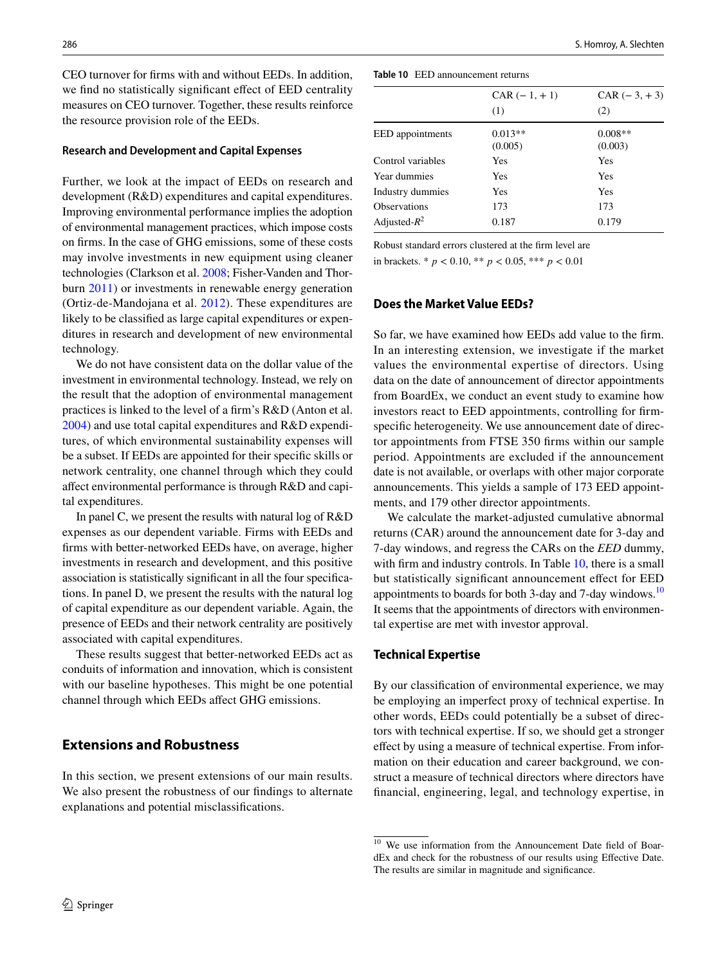CEO turnover for frms with and without EEDs. In addition, we fnd no statistically signifcant efect of EED centrality measures on CEO turnover. Together, these results reinforce the resource provision role of the EEDs.

#### **Research and Development and Capital Expenses**

Further, we look at the impact of EEDs on research and development (R&D) expenditures and capital expenditures. Improving environmental performance implies the adoption of environmental management practices, which impose costs on frms. In the case of GHG emissions, some of these costs may involve investments in new equipment using cleaner technologies (Clarkson et al. [2008;](#page-22-14) Fisher-Vanden and Thorburn [2011\)](#page-23-5) or investments in renewable energy generation (Ortiz-de-Mandojana et al. [2012](#page-23-9)). These expenditures are likely to be classifed as large capital expenditures or expenditures in research and development of new environmental technology.

We do not have consistent data on the dollar value of the investment in environmental technology. Instead, we rely on the result that the adoption of environmental management practices is linked to the level of a frm's R&D (Anton et al. [2004](#page-22-2)) and use total capital expenditures and R&D expenditures, of which environmental sustainability expenses will be a subset. If EEDs are appointed for their specifc skills or network centrality, one channel through which they could afect environmental performance is through R&D and capital expenditures.

In panel C, we present the results with natural log of R&D expenses as our dependent variable. Firms with EEDs and frms with better-networked EEDs have, on average, higher investments in research and development, and this positive association is statistically signifcant in all the four specifcations. In panel D, we present the results with the natural log of capital expenditure as our dependent variable. Again, the presence of EEDs and their network centrality are positively associated with capital expenditures.

These results suggest that better-networked EEDs act as conduits of information and innovation, which is consistent with our baseline hypotheses. This might be one potential channel through which EEDs afect GHG emissions.

# **Extensions and Robustness**

In this section, we present extensions of our main results. We also present the robustness of our fndings to alternate explanations and potential misclassifcations.

#### <span id="page-17-0"></span>**Table 10** EED announcement returns

|                   | $CAR (-1, +1)$       | $CAR (-3, +3)$       |
|-------------------|----------------------|----------------------|
|                   | (1)                  | (2)                  |
| EED appointments  | $0.013**$<br>(0.005) | $0.008**$<br>(0.003) |
| Control variables | Yes                  | Yes                  |
| Year dummies      | Yes                  | Yes                  |
| Industry dummies  | Yes                  | Yes                  |
| Observations      | 173                  | 173                  |
| Adjusted- $R^2$   | 0.187                | 0.179                |
|                   |                      |                      |

Robust standard errors clustered at the frm level are

in brackets. \*  $p < 0.10$ , \*\*  $p < 0.05$ , \*\*\*  $p < 0.01$ 

### **Does the Market Value EEDs?**

So far, we have examined how EEDs add value to the frm. In an interesting extension, we investigate if the market values the environmental expertise of directors. Using data on the date of announcement of director appointments from BoardEx, we conduct an event study to examine how investors react to EED appointments, controlling for frmspecifc heterogeneity. We use announcement date of director appointments from FTSE 350 frms within our sample period. Appointments are excluded if the announcement date is not available, or overlaps with other major corporate announcements. This yields a sample of 173 EED appointments, and 179 other director appointments.

We calculate the market-adjusted cumulative abnormal returns (CAR) around the announcement date for 3-day and 7-day windows, and regress the CARs on the *EED* dummy, with firm and industry controls. In Table [10,](#page-17-0) there is a small but statistically signifcant announcement efect for EED appointments to boards for both 3-day and 7-day windows.<sup>10</sup> It seems that the appointments of directors with environmental expertise are met with investor approval.

### **Technical Expertise**

By our classifcation of environmental experience, we may be employing an imperfect proxy of technical expertise. In other words, EEDs could potentially be a subset of directors with technical expertise. If so, we should get a stronger efect by using a measure of technical expertise. From information on their education and career background, we construct a measure of technical directors where directors have fnancial, engineering, legal, and technology expertise, in

<span id="page-17-1"></span><sup>&</sup>lt;sup>10</sup> We use information from the Announcement Date field of BoardEx and check for the robustness of our results using Efective Date. The results are similar in magnitude and signifcance.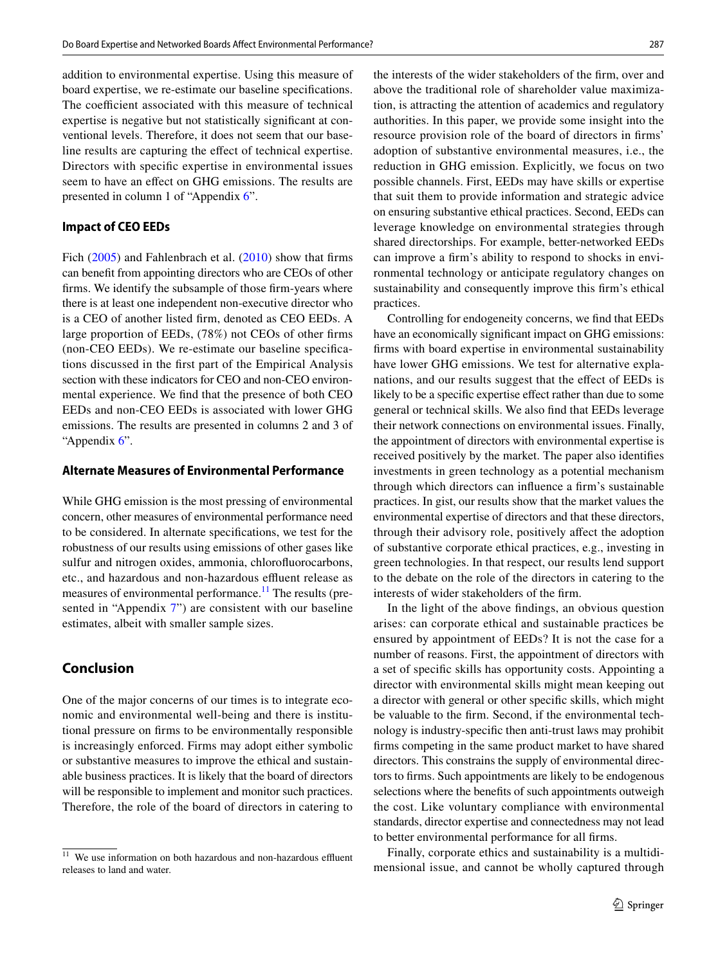addition to environmental expertise. Using this measure of board expertise, we re-estimate our baseline specifcations. The coefficient associated with this measure of technical expertise is negative but not statistically signifcant at conventional levels. Therefore, it does not seem that our baseline results are capturing the efect of technical expertise. Directors with specifc expertise in environmental issues seem to have an efect on GHG emissions. The results are presented in column 1 of "Appendix [6](#page-22-15)".

### **Impact of CEO EEDs**

Fich [\(2005\)](#page-23-34) and Fahlenbrach et al. ([2010](#page-23-35)) show that frms can beneft from appointing directors who are CEOs of other frms. We identify the subsample of those frm-years where there is at least one independent non-executive director who is a CEO of another listed frm, denoted as CEO EEDs. A large proportion of EEDs, (78%) not CEOs of other frms (non-CEO EEDs). We re-estimate our baseline specifcations discussed in the frst part of the Empirical Analysis section with these indicators for CEO and non-CEO environmental experience. We fnd that the presence of both CEO EEDs and non-CEO EEDs is associated with lower GHG emissions. The results are presented in columns 2 and 3 of "Appendix [6"](#page-22-15).

### **Alternate Measures of Environmental Performance**

While GHG emission is the most pressing of environmental concern, other measures of environmental performance need to be considered. In alternate specifcations, we test for the robustness of our results using emissions of other gases like sulfur and nitrogen oxides, ammonia, chlorofuorocarbons, etc., and hazardous and non-hazardous effluent release as measures of environmental performance.<sup>11</sup> The results (presented in "Appendix [7"](#page-22-16)) are consistent with our baseline estimates, albeit with smaller sample sizes.

# **Conclusion**

One of the major concerns of our times is to integrate economic and environmental well-being and there is institutional pressure on frms to be environmentally responsible is increasingly enforced. Firms may adopt either symbolic or substantive measures to improve the ethical and sustainable business practices. It is likely that the board of directors will be responsible to implement and monitor such practices. Therefore, the role of the board of directors in catering to

the interests of the wider stakeholders of the frm, over and above the traditional role of shareholder value maximization, is attracting the attention of academics and regulatory authorities. In this paper, we provide some insight into the resource provision role of the board of directors in frms' adoption of substantive environmental measures, i.e., the reduction in GHG emission. Explicitly, we focus on two possible channels. First, EEDs may have skills or expertise that suit them to provide information and strategic advice on ensuring substantive ethical practices. Second, EEDs can leverage knowledge on environmental strategies through shared directorships. For example, better-networked EEDs can improve a frm's ability to respond to shocks in environmental technology or anticipate regulatory changes on sustainability and consequently improve this frm's ethical practices.

Controlling for endogeneity concerns, we fnd that EEDs have an economically significant impact on GHG emissions: frms with board expertise in environmental sustainability have lower GHG emissions. We test for alternative explanations, and our results suggest that the efect of EEDs is likely to be a specific expertise effect rather than due to some general or technical skills. We also fnd that EEDs leverage their network connections on environmental issues. Finally, the appointment of directors with environmental expertise is received positively by the market. The paper also identifes investments in green technology as a potential mechanism through which directors can infuence a frm's sustainable practices. In gist, our results show that the market values the environmental expertise of directors and that these directors, through their advisory role, positively afect the adoption of substantive corporate ethical practices, e.g., investing in green technologies. In that respect, our results lend support to the debate on the role of the directors in catering to the interests of wider stakeholders of the frm.

In the light of the above fndings, an obvious question arises: can corporate ethical and sustainable practices be ensured by appointment of EEDs? It is not the case for a number of reasons. First, the appointment of directors with a set of specifc skills has opportunity costs. Appointing a director with environmental skills might mean keeping out a director with general or other specifc skills, which might be valuable to the frm. Second, if the environmental technology is industry-specifc then anti-trust laws may prohibit frms competing in the same product market to have shared directors. This constrains the supply of environmental directors to frms. Such appointments are likely to be endogenous selections where the benefts of such appointments outweigh the cost. Like voluntary compliance with environmental standards, director expertise and connectedness may not lead to better environmental performance for all frms.

Finally, corporate ethics and sustainability is a multidimensional issue, and cannot be wholly captured through

<span id="page-18-0"></span> $11$  We use information on both hazardous and non-hazardous effluent releases to land and water.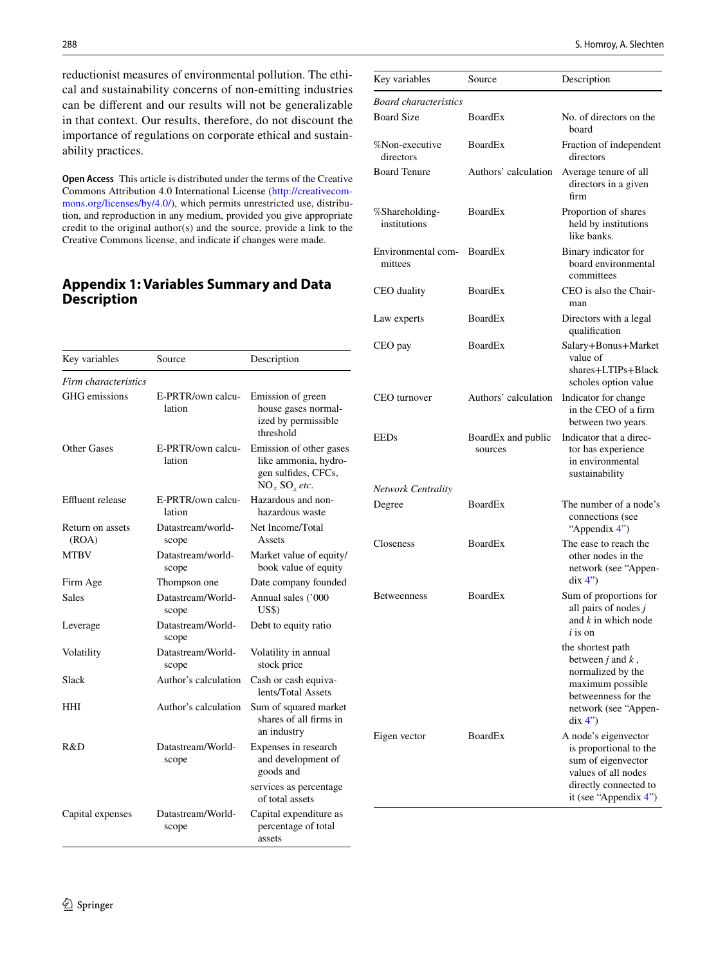reductionist measures of environmental pollution. The ethical and sustainability concerns of non-emitting industries can be diferent and our results will not be generalizable in that context. Our results, therefore, do not discount the importance of regulations on corporate ethical and sustainability practices.

**Open Access** This article is distributed under the terms of the Creative Commons Attribution 4.0 International License ([http://creativecom](http://creativecommons.org/licenses/by/4.0/)[mons.org/licenses/by/4.0/](http://creativecommons.org/licenses/by/4.0/)), which permits unrestricted use, distribution, and reproduction in any medium, provided you give appropriate credit to the original author(s) and the source, provide a link to the Creative Commons license, and indicate if changes were made.

# <span id="page-19-0"></span>**Appendix 1: Variables Summary and Data Description**

| Key variables             | Source                      | Description                                                                                |
|---------------------------|-----------------------------|--------------------------------------------------------------------------------------------|
| Firm characteristics      |                             |                                                                                            |
| GHG emissions             | E-PRTR/own calcu-<br>lation | Emission of green<br>house gases normal-<br>ized by permissible<br>threshold               |
| <b>Other Gases</b>        | E-PRTR/own calcu-<br>lation | Emission of other gases<br>like ammonia, hydro-<br>gen sulfides, CFCs,<br>$NO_x SO_x$ etc. |
| Effluent release          | E-PRTR/own calcu-<br>lation | Hazardous and non-<br>hazardous waste                                                      |
| Return on assets<br>(ROA) | Datastream/world-<br>scope  | Net Income/Total<br>Assets                                                                 |
| <b>MTBV</b>               | Datastream/world-<br>scope  | Market value of equity/<br>book value of equity                                            |
| Firm Age                  | Thompson one                | Date company founded                                                                       |
| <b>Sales</b>              | Datastream/World-<br>scope  | Annual sales ('000<br>US\$)                                                                |
| Leverage                  | Datastream/World-<br>scope  | Debt to equity ratio                                                                       |
| Volatility                | Datastream/World-<br>scope  | Volatility in annual<br>stock price                                                        |
| Slack                     | Author's calculation        | Cash or cash equiva-<br>lents/Total Assets                                                 |
| HHI                       | Author's calculation        | Sum of squared market<br>shares of all firms in<br>an industry                             |
| R&D                       | Datastream/World-<br>scope  | Expenses in research<br>and development of<br>goods and                                    |
|                           |                             | services as percentage<br>of total assets                                                  |
| Capital expenses          | Datastream/World-<br>scope  | Capital expenditure as<br>percentage of total<br>assets                                    |

| Key variables                         | Source                        | Description                                                                                                                                                    |
|---------------------------------------|-------------------------------|----------------------------------------------------------------------------------------------------------------------------------------------------------------|
| <b>Board characteristics</b>          |                               |                                                                                                                                                                |
| <b>Board Size</b>                     | <b>BoardEx</b>                | No. of directors on the<br>board                                                                                                                               |
| %Non-executive<br>directors           | <b>BoardEx</b>                | Fraction of independent<br>directors                                                                                                                           |
| <b>Board Tenure</b>                   | Authors' calculation          | Average tenure of all<br>directors in a given<br>firm                                                                                                          |
| %Shareholding-<br>institutions        | <b>BoardEx</b>                | Proportion of shares<br>held by institutions<br>like banks.                                                                                                    |
| Environmental com- BoardEx<br>mittees |                               | Binary indicator for<br>board environmental<br>committees                                                                                                      |
| CEO duality                           | <b>BoardEx</b>                | CEO is also the Chair-<br>man                                                                                                                                  |
| Law experts                           | <b>BoardEx</b>                | Directors with a legal<br>qualification                                                                                                                        |
| CEO pay                               | <b>BoardEx</b>                | Salary+Bonus+Market<br>value of<br>shares+LTIPs+Black<br>scholes option value                                                                                  |
| CEO turnover                          | Authors' calculation          | Indicator for change<br>in the CEO of a firm<br>between two years.                                                                                             |
| <b>EEDs</b>                           | BoardEx and public<br>sources | Indicator that a direc-<br>tor has experience<br>in environmental<br>sustainability                                                                            |
| Network Centrality                    |                               |                                                                                                                                                                |
| Degree                                | BoardEx                       | The number of a node's<br>connections (see<br>"Appendix 4")                                                                                                    |
| Closeness                             | <b>BoardEx</b>                | The ease to reach the<br>other nodes in the<br>network (see "Appen-<br>$\operatorname{dix}$ 4")                                                                |
| <b>Betweenness</b>                    | <b>BoardEx</b>                | Sum of proportions for<br>all pairs of nodes $j$<br>and $k$ in which node<br><i>i</i> is on                                                                    |
|                                       |                               | the shortest path<br>between $j$ and $k$ ,<br>normalized by the<br>maximum possible<br>betweenness for the<br>network (see "Appen-<br>$\operatorname{dix}$ 4") |
| Eigen vector                          | <b>BoardEx</b>                | A node's eigenvector<br>is proportional to the<br>sum of eigenvector<br>values of all nodes<br>directly connected to<br>it (see "Appendix 4")                  |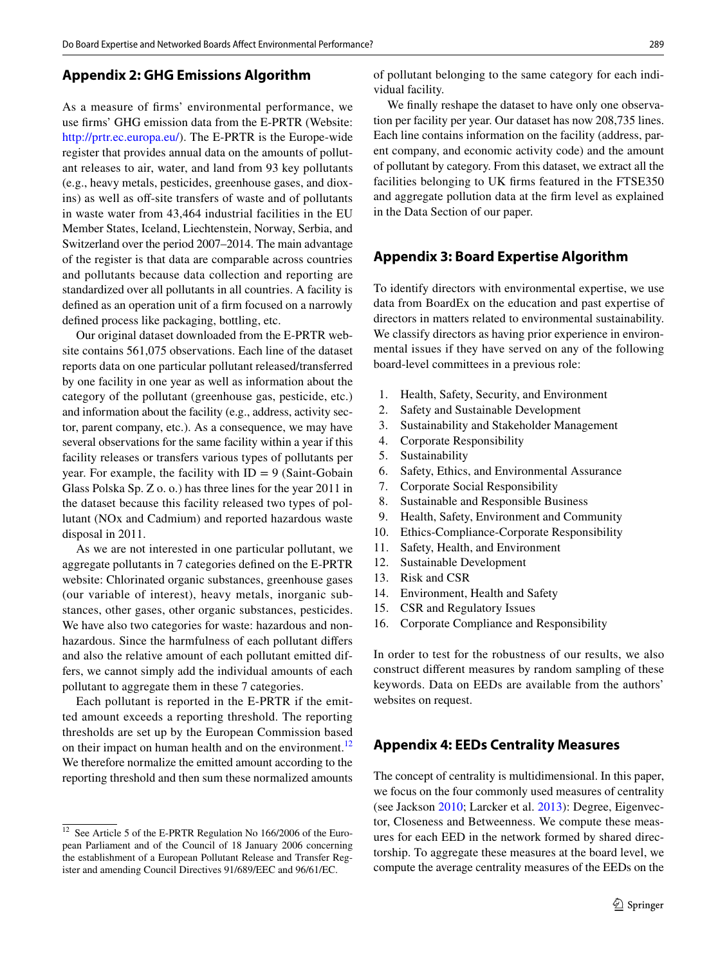### <span id="page-20-0"></span>**Appendix 2: GHG Emissions Algorithm**

As a measure of frms' environmental performance, we use frms' GHG emission data from the E-PRTR (Website: [http://prtr.ec.europa.eu/\)](http://prtr.ec.europa.eu/). The E-PRTR is the Europe-wide register that provides annual data on the amounts of pollutant releases to air, water, and land from 93 key pollutants (e.g., heavy metals, pesticides, greenhouse gases, and dioxins) as well as off-site transfers of waste and of pollutants in waste water from 43,464 industrial facilities in the EU Member States, Iceland, Liechtenstein, Norway, Serbia, and Switzerland over the period 2007–2014. The main advantage of the register is that data are comparable across countries and pollutants because data collection and reporting are standardized over all pollutants in all countries. A facility is defned as an operation unit of a frm focused on a narrowly defned process like packaging, bottling, etc.

Our original dataset downloaded from the E-PRTR website contains 561,075 observations. Each line of the dataset reports data on one particular pollutant released/transferred by one facility in one year as well as information about the category of the pollutant (greenhouse gas, pesticide, etc.) and information about the facility (e.g., address, activity sector, parent company, etc.). As a consequence, we may have several observations for the same facility within a year if this facility releases or transfers various types of pollutants per year. For example, the facility with  $ID = 9$  (Saint-Gobain Glass Polska Sp. Z o. o.) has three lines for the year 2011 in the dataset because this facility released two types of pollutant (NOx and Cadmium) and reported hazardous waste disposal in 2011.

As we are not interested in one particular pollutant, we aggregate pollutants in 7 categories defned on the E-PRTR website: Chlorinated organic substances, greenhouse gases (our variable of interest), heavy metals, inorganic substances, other gases, other organic substances, pesticides. We have also two categories for waste: hazardous and nonhazardous. Since the harmfulness of each pollutant difers and also the relative amount of each pollutant emitted differs, we cannot simply add the individual amounts of each pollutant to aggregate them in these 7 categories.

Each pollutant is reported in the E-PRTR if the emitted amount exceeds a reporting threshold. The reporting thresholds are set up by the European Commission based on their impact on human health and on the environment.<sup>[12](#page-20-3)</sup> We therefore normalize the emitted amount according to the reporting threshold and then sum these normalized amounts of pollutant belonging to the same category for each individual facility.

We fnally reshape the dataset to have only one observation per facility per year. Our dataset has now 208,735 lines. Each line contains information on the facility (address, parent company, and economic activity code) and the amount of pollutant by category. From this dataset, we extract all the facilities belonging to UK frms featured in the FTSE350 and aggregate pollution data at the frm level as explained in the Data Section of our paper.

### <span id="page-20-1"></span>**Appendix 3: Board Expertise Algorithm**

To identify directors with environmental expertise, we use data from BoardEx on the education and past expertise of directors in matters related to environmental sustainability. We classify directors as having prior experience in environmental issues if they have served on any of the following board-level committees in a previous role:

- 1. Health, Safety, Security, and Environment
- 2. Safety and Sustainable Development
- 3. Sustainability and Stakeholder Management
- 4. Corporate Responsibility
- 5. Sustainability
- 6. Safety, Ethics, and Environmental Assurance
- 7. Corporate Social Responsibility
- 8. Sustainable and Responsible Business
- 9. Health, Safety, Environment and Community
- 10. Ethics-Compliance-Corporate Responsibility
- 11. Safety, Health, and Environment
- 12. Sustainable Development
- 13. Risk and CSR
- 14. Environment, Health and Safety
- 15. CSR and Regulatory Issues
- 16. Corporate Compliance and Responsibility

In order to test for the robustness of our results, we also construct diferent measures by random sampling of these keywords. Data on EEDs are available from the authors' websites on request.

## <span id="page-20-2"></span>**Appendix 4: EEDs Centrality Measures**

The concept of centrality is multidimensional. In this paper, we focus on the four commonly used measures of centrality (see Jackson [2010](#page-23-30); Larcker et al. [2013\)](#page-23-27): Degree, Eigenvector, Closeness and Betweenness. We compute these measures for each EED in the network formed by shared directorship. To aggregate these measures at the board level, we compute the average centrality measures of the EEDs on the

<span id="page-20-3"></span> $12$  See Article 5 of the E-PRTR Regulation No 166/2006 of the European Parliament and of the Council of 18 January 2006 concerning the establishment of a European Pollutant Release and Transfer Register and amending Council Directives 91/689/EEC and 96/61/EC.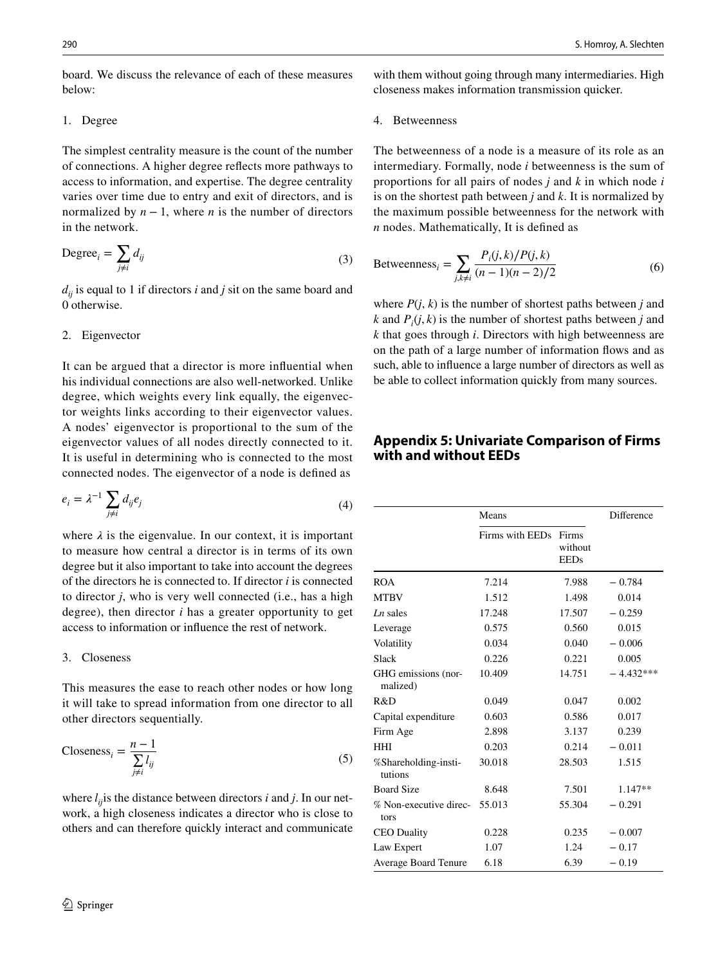board. We discuss the relevance of each of these measures below:

### 1. Degree

The simplest centrality measure is the count of the number of connections. A higher degree refects more pathways to access to information, and expertise. The degree centrality varies over time due to entry and exit of directors, and is normalized by  $n - 1$ , where *n* is the number of directors in the network.

$$
\text{Degree}_i = \sum_{j \neq i} d_{ij} \tag{3}
$$

 $d_{ij}$  is equal to 1 if directors *i* and *j* sit on the same board and 0 otherwise.

#### 2. Eigenvector

It can be argued that a director is more infuential when his individual connections are also well-networked. Unlike degree, which weights every link equally, the eigenvector weights links according to their eigenvector values. A nodes' eigenvector is proportional to the sum of the eigenvector values of all nodes directly connected to it. It is useful in determining who is connected to the most connected nodes. The eigenvector of a node is defned as

$$
e_i = \lambda^{-1} \sum_{j \neq i} d_{ij} e_j \tag{4}
$$

where  $\lambda$  is the eigenvalue. In our context, it is important to measure how central a director is in terms of its own degree but it also important to take into account the degrees of the directors he is connected to. If director *i* is connected to director *j*, who is very well connected (i.e., has a high degree), then director *i* has a greater opportunity to get access to information or infuence the rest of network.

#### 3. Closeness

This measures the ease to reach other nodes or how long it will take to spread information from one director to all other directors sequentially.

Closeness<sub>i</sub> = 
$$
\frac{n-1}{\sum_{j \neq i} l_{ij}}
$$
 (5)

where  $l_{ij}$  is the distance between directors *i* and *j*. In our network, a high closeness indicates a director who is close to others and can therefore quickly interact and communicate

with them without going through many intermediaries. High closeness makes information transmission quicker.

#### 4. Betweenness

The betweenness of a node is a measure of its role as an intermediary. Formally, node *i* betweenness is the sum of proportions for all pairs of nodes *j* and *k* in which node *i* is on the shortest path between *j* and *k*. It is normalized by the maximum possible betweenness for the network with *n* nodes. Mathematically, It is defned as

Betweenness<sub>i</sub> = 
$$
\sum_{j,k \neq i} \frac{P_i(j,k)/P(j,k)}{(n-1)(n-2)/2}
$$
 (6)

where  $P(j, k)$  is the number of shortest paths between *j* and  $k$  and  $P_i(j, k)$  is the number of shortest paths between *j* and *k* that goes through *i*. Directors with high betweenness are on the path of a large number of information fows and as such, able to infuence a large number of directors as well as be able to collect information quickly from many sources.

# <span id="page-21-0"></span>**Appendix 5: Univariate Comparison of Firms with and without EEDs**

|                                 | Means           |                                 | Difference  |
|---------------------------------|-----------------|---------------------------------|-------------|
|                                 | Firms with EEDs | Firms<br>without<br><b>EEDs</b> |             |
| <b>ROA</b>                      | 7.214           | 7.988                           | $-0.784$    |
| MTBV                            | 1.512           | 1.498                           | 0.014       |
| Ln sales                        | 17.248          | 17.507                          | $-0.259$    |
| Leverage                        | 0.575           | 0.560                           | 0.015       |
| Volatility                      | 0.034           | 0.040                           | $-0.006$    |
| Slack                           | 0.226           | 0.221                           | 0.005       |
| GHG emissions (nor-<br>malized) | 10.409          | 14.751                          | $-4.432***$ |
| R&D                             | 0.049           | 0.047                           | 0.002       |
| Capital expenditure             | 0.603           | 0.586                           | 0.017       |
| Firm Age                        | 2.898           | 3.137                           | 0.239       |
| <b>HHI</b>                      | 0.203           | 0.214                           | $-0.011$    |
| %Shareholding-insti-<br>tutions | 30.018          | 28.503                          | 1.515       |
| <b>Board Size</b>               | 8.648           | 7.501                           | $1.147**$   |
| % Non-executive direc-<br>tors  | 55.013          | 55.304                          | $-0.291$    |
| <b>CEO</b> Duality              | 0.228           | 0.235                           | $-0.007$    |
| Law Expert                      | 1.07            | 1.24                            | $-0.17$     |
| Average Board Tenure            | 6.18            | 6.39                            | $-0.19$     |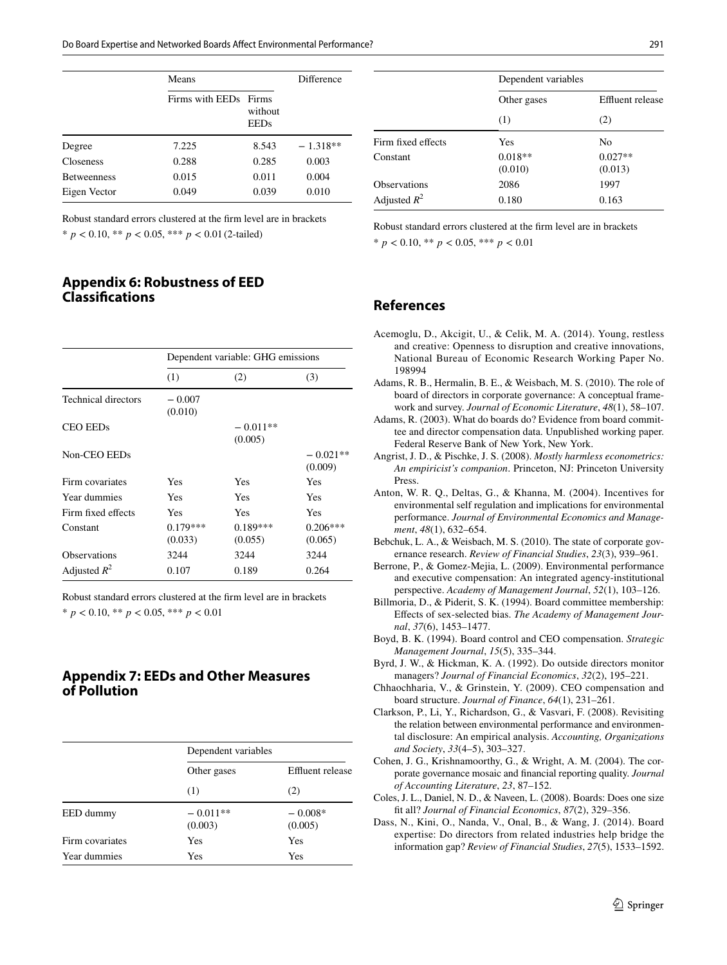|                    | Means                 |                        | Difference |
|--------------------|-----------------------|------------------------|------------|
|                    | Firms with EEDs Firms | without<br><b>EEDs</b> |            |
| Degree             | 7.225                 | 8.543                  | $-1.318**$ |
| <b>Closeness</b>   | 0.288                 | 0.285                  | 0.003      |
| <b>Betweenness</b> | 0.015                 | 0.011                  | 0.004      |
| Eigen Vector       | 0.049                 | 0.039                  | 0.010      |
|                    |                       |                        |            |

Robust standard errors clustered at the frm level are in brackets  $* p < 0.10, ** p < 0.05, *** p < 0.01$  (2-tailed)

# <span id="page-22-15"></span>**Appendix 6: Robustness of EED Classifcations**

|                            | Dependent variable: GHG emissions |                       |                       |
|----------------------------|-----------------------------------|-----------------------|-----------------------|
|                            | (1)                               | (2)                   | (3)                   |
| <b>Technical directors</b> | $-0.007$<br>(0.010)               |                       |                       |
| <b>CEO EEDs</b>            |                                   | $-0.011**$<br>(0.005) |                       |
| Non-CEO EEDs               |                                   |                       | $-0.021**$<br>(0.009) |
| Firm covariates            | Yes                               | Yes                   | Yes                   |
| Year dummies               | Yes                               | Yes                   | Yes                   |
| Firm fixed effects         | <b>Yes</b>                        | Yes                   | Yes                   |
| Constant                   | $0.179***$<br>(0.033)             | $0.189***$<br>(0.055) | $0.206***$<br>(0.065) |
| <b>Observations</b>        | 3244                              | 3244                  | 3244                  |
| Adjusted $R^2$             | 0.107                             | 0.189                 | 0.264                 |

Robust standard errors clustered at the frm level are in brackets \* *p <* 0.10, \*\* *p <* 0.05, \*\*\* *p <* 0.01

# <span id="page-22-16"></span>**Appendix 7: EEDs and Other Measures of Pollution**

|                 | Dependent variables   |                      |
|-----------------|-----------------------|----------------------|
|                 | Other gases           | Effluent release     |
|                 | (1)                   | (2)                  |
| EED dummy       | $-0.011**$<br>(0.003) | $-0.008*$<br>(0.005) |
| Firm covariates | Yes                   | Yes                  |
| Year dummies    | Yes                   | Yes                  |

|                     | Dependent variables  |                         |
|---------------------|----------------------|-------------------------|
|                     | Other gases<br>(1)   | Effluent release<br>(2) |
|                     |                      |                         |
| Firm fixed effects  | Yes                  | No                      |
| Constant            | $0.018**$<br>(0.010) | $0.027**$<br>(0.013)    |
| <b>Observations</b> | 2086                 | 1997                    |
| Adjusted $R^2$      | 0.180                | 0.163                   |

Robust standard errors clustered at the frm level are in brackets \* *p <* 0.10, \*\* *p <* 0.05, \*\*\* *p <* 0.01

# **References**

- <span id="page-22-5"></span>Acemoglu, D., Akcigit, U., & Celik, M. A. (2014). Young, restless and creative: Openness to disruption and creative innovations, National Bureau of Economic Research Working Paper No. 198994
- <span id="page-22-6"></span>Adams, R. B., Hermalin, B. E., & Weisbach, M. S. (2010). The role of board of directors in corporate governance: A conceptual framework and survey. *Journal of Economic Literature*, *48*(1), 58–107.
- <span id="page-22-7"></span>Adams, R. (2003). What do boards do? Evidence from board committee and director compensation data. Unpublished working paper. Federal Reserve Bank of New York, New York.
- <span id="page-22-11"></span>Angrist, J. D., & Pischke, J. S. (2008). *Mostly harmless econometrics: An empiricist's companion*. Princeton, NJ: Princeton University Press.
- <span id="page-22-2"></span>Anton, W. R. Q., Deltas, G., & Khanna, M. (2004). Incentives for environmental self regulation and implications for environmental performance. *Journal of Environmental Economics and Management*, *48*(1), 632–654.
- <span id="page-22-0"></span>Bebchuk, L. A., & Weisbach, M. S. (2010). The state of corporate governance research. *Review of Financial Studies*, *23*(3), 939–961.
- <span id="page-22-9"></span>Berrone, P., & Gomez-Mejia, L. (2009). Environmental performance and executive compensation: An integrated agency-institutional perspective. *Academy of Management Journal*, *52*(1), 103–126.
- <span id="page-22-8"></span>Billmoria, D., & Piderit, S. K. (1994). Board committee membership: Efects of sex-selected bias. *The Academy of Management Journal*, *37*(6), 1453–1477.
- <span id="page-22-13"></span>Boyd, B. K. (1994). Board control and CEO compensation. *Strategic Management Journal*, *15*(5), 335–344.
- <span id="page-22-10"></span>Byrd, J. W., & Hickman, K. A. (1992). Do outside directors monitor managers? *Journal of Financial Economics*, *32*(2), 195–221.
- <span id="page-22-12"></span>Chhaochharia, V., & Grinstein, Y. (2009). CEO compensation and board structure. *Journal of Finance*, *64*(1), 231–261.
- <span id="page-22-14"></span>Clarkson, P., Li, Y., Richardson, G., & Vasvari, F. (2008). Revisiting the relation between environmental performance and environmental disclosure: An empirical analysis. *Accounting, Organizations and Society*, *33*(4–5), 303–327.
- <span id="page-22-1"></span>Cohen, J. G., Krishnamoorthy, G., & Wright, A. M. (2004). The corporate governance mosaic and fnancial reporting quality. *Journal of Accounting Literature*, *23*, 87–152.
- <span id="page-22-4"></span>Coles, J. L., Daniel, N. D., & Naveen, L. (2008). Boards: Does one size ft all? *Journal of Financial Economics*, *87*(2), 329–356.
- <span id="page-22-3"></span>Dass, N., Kini, O., Nanda, V., Onal, B., & Wang, J. (2014). Board expertise: Do directors from related industries help bridge the information gap? *Review of Financial Studies*, *27*(5), 1533–1592.